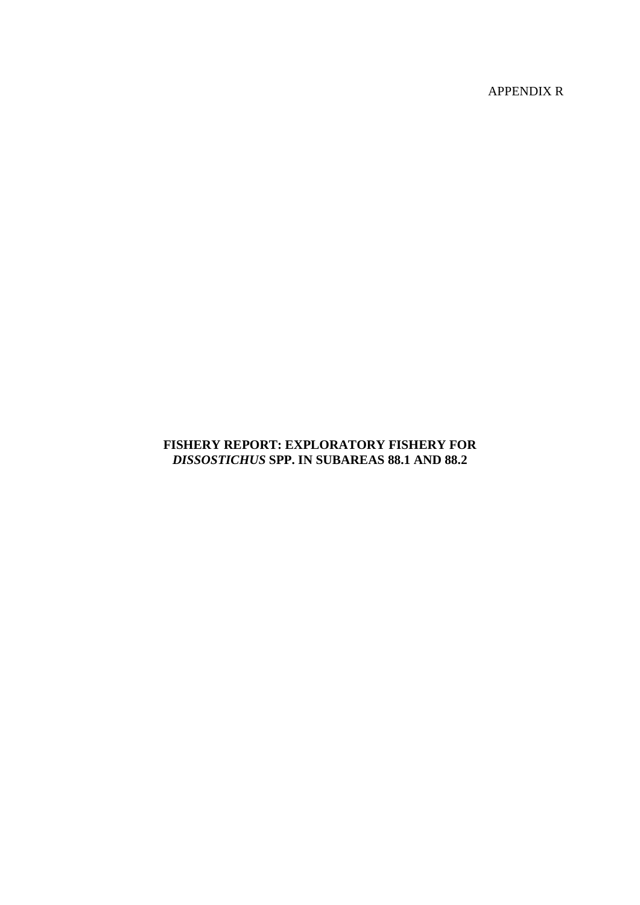APPENDIX R

# **FISHERY REPORT: EXPLORATORY FISHERY FOR**  *DISSOSTICHUS* **SPP. IN SUBAREAS 88.1 AND 88.2**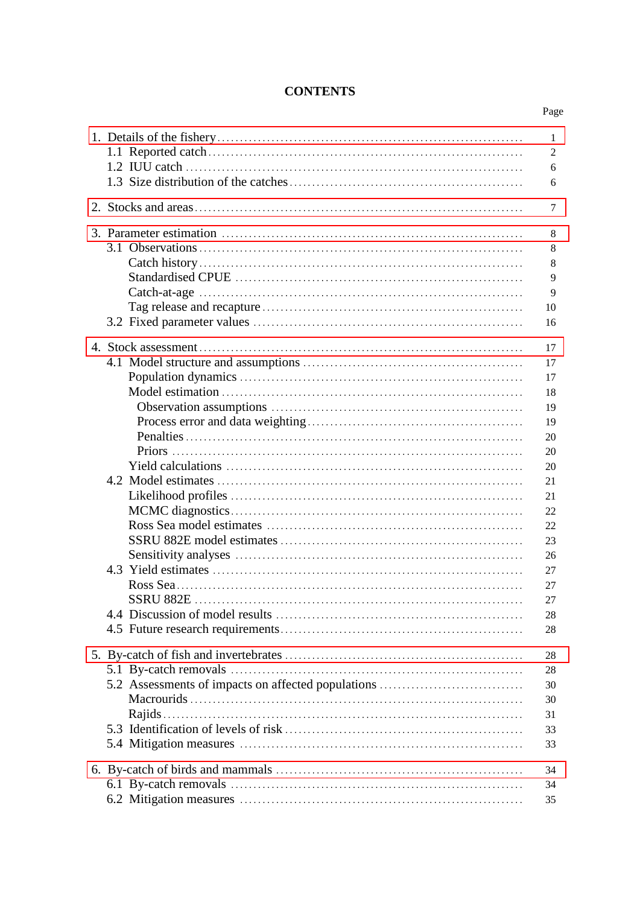# **CONTENTS**

| 1<br>$\overline{2}$<br>6<br>6                                                                            |
|----------------------------------------------------------------------------------------------------------|
| 7                                                                                                        |
| 8<br>8<br>8<br>9<br>$\overline{Q}$<br>10<br>16                                                           |
| 17<br>17<br>17<br>18<br>19<br>19<br>20<br>20<br>20<br>21<br>21<br>22<br>22<br>23<br>26<br>27<br>27<br>27 |
| 28<br>28                                                                                                 |
| 28<br>28<br>5.2 Assessments of impacts on affected populations<br>30<br>30<br>31<br>33<br>33             |
| 34<br>34<br>35                                                                                           |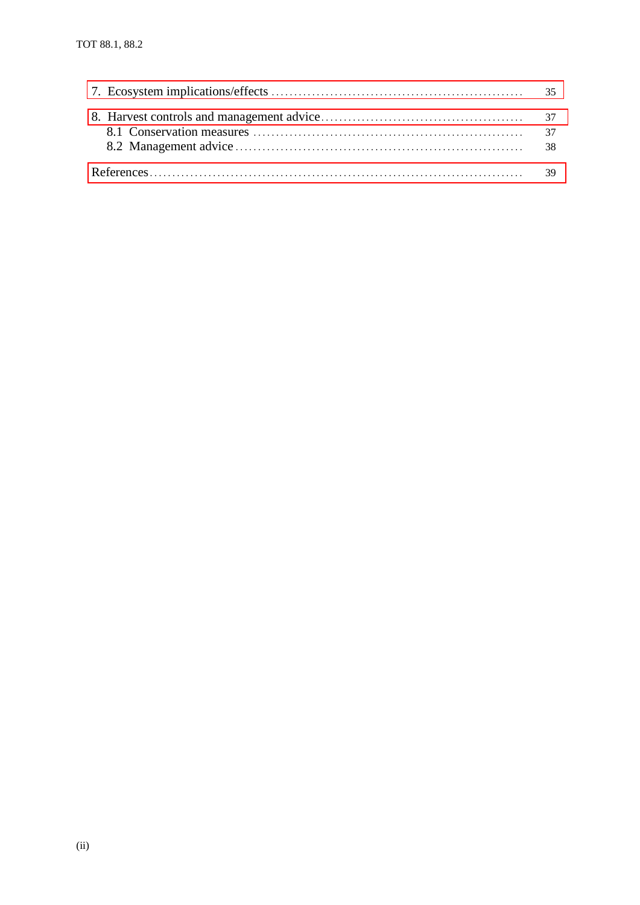| 37<br>-38 |
|-----------|
|           |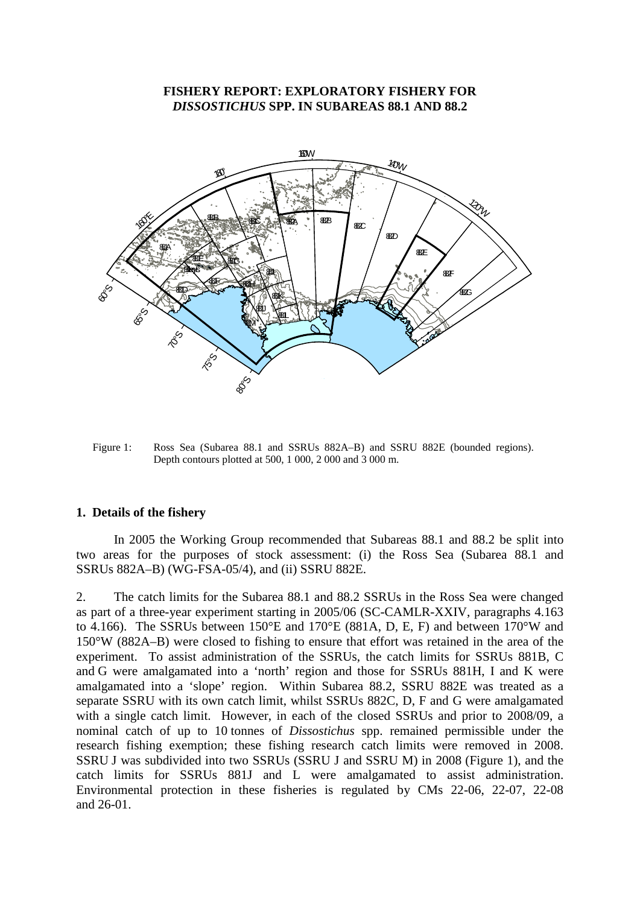### **FISHERY REPORT: EXPLORATORY FISHERY FOR**  *DISSOSTICHUS* **SPP. IN SUBAREAS 88.1 AND 88.2**

<span id="page-4-0"></span>

Figure 1: Ross Sea (Subarea 88.1 and SSRUs 882A–B) and SSRU 882E (bounded regions). Depth contours plotted at 500, 1 000, 2 000 and 3 000 m.

#### **1. Details of the fishery**

In 2005 the Working Group recommended that Subareas 88.1 and 88.2 be split into two areas for the purposes of stock assessment: (i) the Ross Sea (Subarea 88.1 and SSRUs 882A–B) (WG-FSA-05/4), and (ii) SSRU 882E.

2. The catch limits for the Subarea 88.1 and 88.2 SSRUs in the Ross Sea were changed as part of a three-year experiment starting in 2005/06 (SC-CAMLR-XXIV, paragraphs 4.163 to 4.166). The SSRUs between 150°E and 170°E (881A, D, E, F) and between 170°W and 150°W (882A–B) were closed to fishing to ensure that effort was retained in the area of the experiment. To assist administration of the SSRUs, the catch limits for SSRUs 881B, C and G were amalgamated into a 'north' region and those for SSRUs 881H, I and K were amalgamated into a 'slope' region. Within Subarea 88.2, SSRU 882E was treated as a separate SSRU with its own catch limit, whilst SSRUs 882C, D, F and G were amalgamated with a single catch limit. However, in each of the closed SSRUs and prior to 2008/09, a nominal catch of up to 10 tonnes of *Dissostichus* spp. remained permissible under the research fishing exemption; these fishing research catch limits were removed in 2008. SSRU J was subdivided into two SSRUs (SSRU J and SSRU M) in 2008 (Figure 1), and the catch limits for SSRUs 881J and L were amalgamated to assist administration. Environmental protection in these fisheries is regulated by CMs 22-06, 22-07, 22-08 and 26-01.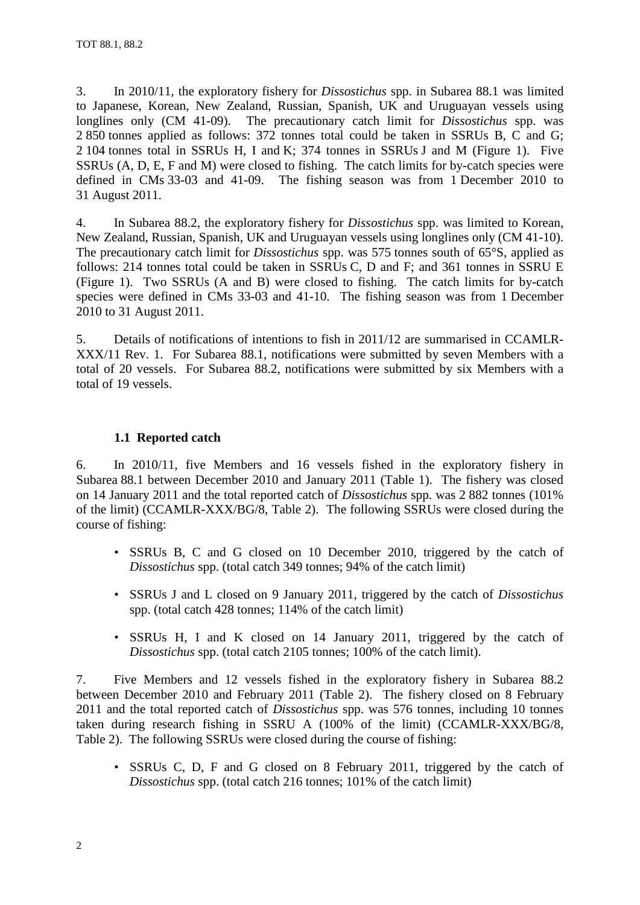3. In 2010/11, the exploratory fishery for *Dissostichus* spp. in Subarea 88.1 was limited to Japanese, Korean, New Zealand, Russian, Spanish, UK and Uruguayan vessels using longlines only (CM 41-09). The precautionary catch limit for *Dissostichus* spp. was 2 850 tonnes applied as follows: 372 tonnes total could be taken in SSRUs B, C and G; 2 104 tonnes total in SSRUs H, I and K; 374 tonnes in SSRUs J and M (Figure 1). Five SSRUs (A, D, E, F and M) were closed to fishing. The catch limits for by-catch species were defined in CMs 33-03 and 41-09. The fishing season was from 1 December 2010 to 31 August 2011.

4. In Subarea 88.2, the exploratory fishery for *Dissostichus* spp. was limited to Korean, New Zealand, Russian, Spanish, UK and Uruguayan vessels using longlines only (CM 41-10). The precautionary catch limit for *Dissostichus* spp. was 575 tonnes south of 65°S, applied as follows: 214 tonnes total could be taken in SSRUs C, D and F; and 361 tonnes in SSRU E (Figure 1). Two SSRUs (A and B) were closed to fishing. The catch limits for by-catch species were defined in CMs 33-03 and 41-10. The fishing season was from 1 December 2010 to 31 August 2011.

5. Details of notifications of intentions to fish in 2011/12 are summarised in CCAMLR-XXX/11 Rev. 1. For Subarea 88.1, notifications were submitted by seven Members with a total of 20 vessels. For Subarea 88.2, notifications were submitted by six Members with a total of 19 vessels.

# **1.1 Reported catch**

6. In 2010/11, five Members and 16 vessels fished in the exploratory fishery in Subarea 88.1 between December 2010 and January 2011 (Table 1). The fishery was closed on 14 January 2011 and the total reported catch of *Dissostichus* spp. was 2 882 tonnes (101% of the limit) (CCAMLR-XXX/BG/8, Table 2). The following SSRUs were closed during the course of fishing:

- SSRUs B, C and G closed on 10 December 2010, triggered by the catch of *Dissostichus* spp. (total catch 349 tonnes; 94% of the catch limit)
- SSRUs J and L closed on 9 January 2011, triggered by the catch of *Dissostichus* spp. (total catch 428 tonnes; 114% of the catch limit)
- SSRUs H, I and K closed on 14 January 2011, triggered by the catch of *Dissostichus* spp. (total catch 2105 tonnes; 100% of the catch limit).

7. Five Members and 12 vessels fished in the exploratory fishery in Subarea 88.2 between December 2010 and February 2011 (Table 2). The fishery closed on 8 February 2011 and the total reported catch of *Dissostichus* spp. was 576 tonnes, including 10 tonnes taken during research fishing in SSRU A (100% of the limit) (CCAMLR-XXX/BG/8, Table 2). The following SSRUs were closed during the course of fishing:

• SSRUs C, D, F and G closed on 8 February 2011, triggered by the catch of *Dissostichus* spp. (total catch 216 tonnes; 101% of the catch limit)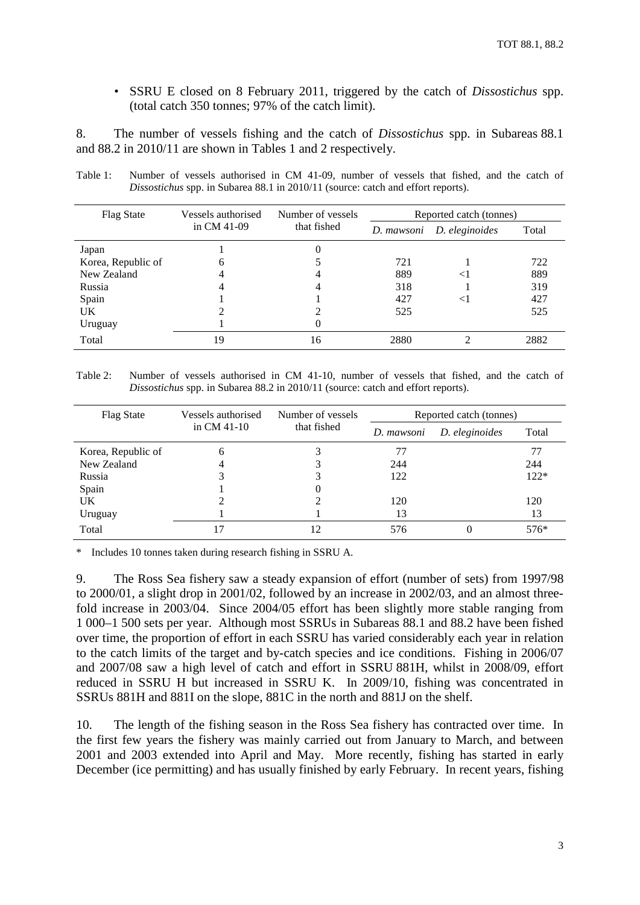• SSRU E closed on 8 February 2011, triggered by the catch of *Dissostichus* spp. (total catch 350 tonnes; 97% of the catch limit).

8. The number of vessels fishing and the catch of *Dissostichus* spp. in Subareas 88.1 and 88.2 in 2010/11 are shown in Tables 1 and 2 respectively.

| <b>Flag State</b>  | Vessels authorised | Number of vessels | Reported catch (tonnes) |                              |       |  |  |  |
|--------------------|--------------------|-------------------|-------------------------|------------------------------|-------|--|--|--|
|                    | in CM $41-09$      | that fished       |                         | D. eleginoides<br>D. mawsoni | Total |  |  |  |
| Japan              |                    |                   |                         |                              |       |  |  |  |
| Korea, Republic of | 6                  |                   | 721                     |                              | 722   |  |  |  |
| New Zealand        | 4                  |                   | 889                     | $<$ 1                        | 889   |  |  |  |
| Russia             | 4                  |                   | 318                     |                              | 319   |  |  |  |
| Spain              |                    |                   | 427                     | $<$ l                        | 427   |  |  |  |
| UK.                |                    |                   | 525                     |                              | 525   |  |  |  |
| Uruguay            |                    |                   |                         |                              |       |  |  |  |
| Total              | 19                 | 16                | 2880                    |                              | 2882  |  |  |  |

Table 1: Number of vessels authorised in CM 41-09, number of vessels that fished, and the catch of *Dissostichus* spp. in Subarea 88.1 in 2010/11 (source: catch and effort reports).

Table 2: Number of vessels authorised in CM 41-10, number of vessels that fished, and the catch of *Dissostichus* spp. in Subarea 88.2 in 2010/11 (source: catch and effort reports).

| <b>Flag State</b>  | Vessels authorised | Number of vessels | Reported catch (tonnes) |                |        |  |  |  |
|--------------------|--------------------|-------------------|-------------------------|----------------|--------|--|--|--|
|                    | in $CM$ 41-10      | that fished       | D. mawsoni              | D. eleginoides | Total  |  |  |  |
| Korea, Republic of | 6                  |                   | 77                      |                | 77     |  |  |  |
| New Zealand        | 4                  |                   | 244                     |                | 244    |  |  |  |
| Russia             |                    |                   | 122                     |                | $122*$ |  |  |  |
| Spain              |                    | 0                 |                         |                |        |  |  |  |
| UK.                |                    |                   | 120                     |                | 120    |  |  |  |
| Uruguay            |                    |                   | 13                      |                | 13     |  |  |  |
| Total              |                    | 12                | 576                     |                | 576*   |  |  |  |

Includes 10 tonnes taken during research fishing in SSRU A.

9. The Ross Sea fishery saw a steady expansion of effort (number of sets) from 1997/98 to 2000/01, a slight drop in 2001/02, followed by an increase in 2002/03, and an almost threefold increase in 2003/04. Since 2004/05 effort has been slightly more stable ranging from 1 000–1 500 sets per year. Although most SSRUs in Subareas 88.1 and 88.2 have been fished over time, the proportion of effort in each SSRU has varied considerably each year in relation to the catch limits of the target and by-catch species and ice conditions. Fishing in 2006/07 and 2007/08 saw a high level of catch and effort in SSRU 881H, whilst in 2008/09, effort reduced in SSRU H but increased in SSRU K. In 2009/10, fishing was concentrated in SSRUs 881H and 881I on the slope, 881C in the north and 881J on the shelf.

10. The length of the fishing season in the Ross Sea fishery has contracted over time. In the first few years the fishery was mainly carried out from January to March, and between 2001 and 2003 extended into April and May. More recently, fishing has started in early December (ice permitting) and has usually finished by early February. In recent years, fishing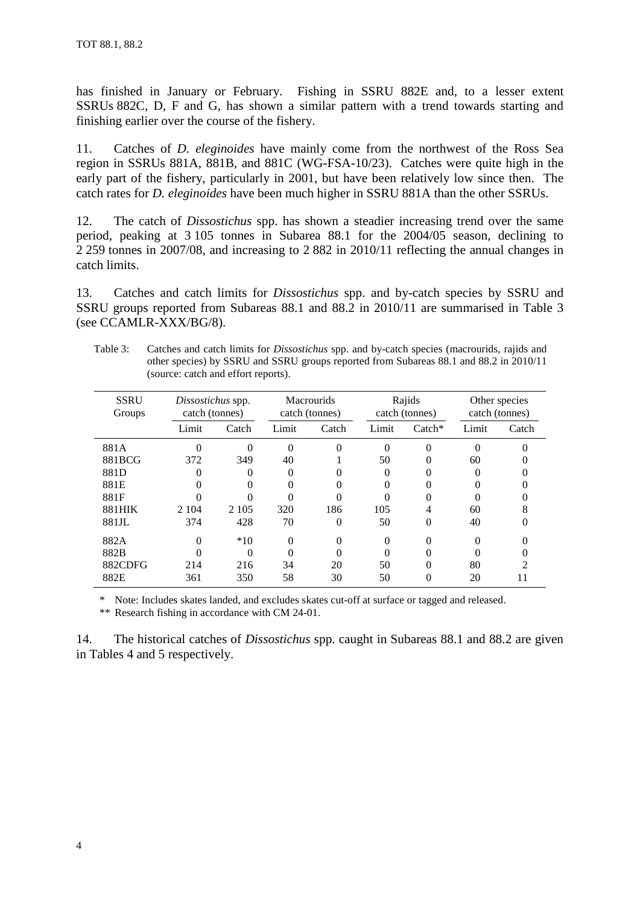has finished in January or February. Fishing in SSRU 882E and, to a lesser extent SSRUs 882C, D, F and G, has shown a similar pattern with a trend towards starting and finishing earlier over the course of the fishery.

11. Catches of *D. eleginoides* have mainly come from the northwest of the Ross Sea region in SSRUs 881A, 881B, and 881C (WG-FSA-10/23). Catches were quite high in the early part of the fishery, particularly in 2001, but have been relatively low since then. The catch rates for *D. eleginoides* have been much higher in SSRU 881A than the other SSRUs.

12. The catch of *Dissostichus* spp. has shown a steadier increasing trend over the same period, peaking at 3 105 tonnes in Subarea 88.1 for the 2004/05 season, declining to 2 259 tonnes in 2007/08, and increasing to 2 882 in 2010/11 reflecting the annual changes in catch limits.

13. Catches and catch limits for *Dissostichus* spp. and by-catch species by SSRU and SSRU groups reported from Subareas 88.1 and 88.2 in 2010/11 are summarised in Table 3 (see CCAMLR-XXX/BG/8).

| Table 3: Catches and catch limits for <i>Dissostichus</i> spp. and by-catch species (macrourids, rajids and |
|-------------------------------------------------------------------------------------------------------------|
| other species) by SSRU and SSRU groups reported from Subareas 88.1 and 88.2 in 2010/11                      |
| (source: catch and effort reports).                                                                         |

| <b>SSRU</b><br>Groups |         | Dissostichus spp.<br>catch (tonnes) |          | <b>Macrourids</b><br>catch (tonnes) |          | Rajids<br>catch (tonnes) |          | Other species<br>catch (tonnes) |  |
|-----------------------|---------|-------------------------------------|----------|-------------------------------------|----------|--------------------------|----------|---------------------------------|--|
|                       | Limit   | Catch                               | Limit    | Catch                               | Limit    | $\text{Catch}^*$         | Limit    | Catch                           |  |
| 881A                  | 0       | 0                                   | $\Omega$ | $\Omega$                            | $\Omega$ | $\Omega$                 | $\Omega$ |                                 |  |
| 881BCG                | 372     | 349                                 | 40       |                                     | 50       |                          | 60       |                                 |  |
| 881D                  |         |                                     | $\theta$ |                                     | $\theta$ |                          |          |                                 |  |
| 881E                  |         | $\Omega$                            | 0        | 0                                   | 0        |                          |          |                                 |  |
| 881F                  |         |                                     |          |                                     | 0        |                          |          |                                 |  |
| 881HIK                | 2 1 0 4 | 2 1 0 5                             | 320      | 186                                 | 105      |                          | 60       | 8                               |  |
| 881JL                 | 374     | 428                                 | 70       | $\Omega$                            | 50       | $\Omega$                 | 40       |                                 |  |
| 882A                  | 0       | $*10$                               | $\Omega$ | 0                                   | $\Omega$ |                          |          |                                 |  |
| 882B                  |         | 0                                   | 0        |                                     | 0        |                          |          |                                 |  |
| 882CDFG               | 214     | 216                                 | 34       | 20                                  | 50       |                          | 80       | っ                               |  |
| 882E                  | 361     | 350                                 | 58       | 30                                  | 50       |                          | 20       | 11                              |  |

\* Note: Includes skates landed, and excludes skates cut-off at surface or tagged and released.

\*\* Research fishing in accordance with CM 24-01.

14. The historical catches of *Dissostichus* spp. caught in Subareas 88.1 and 88.2 are given in Tables 4 and 5 respectively.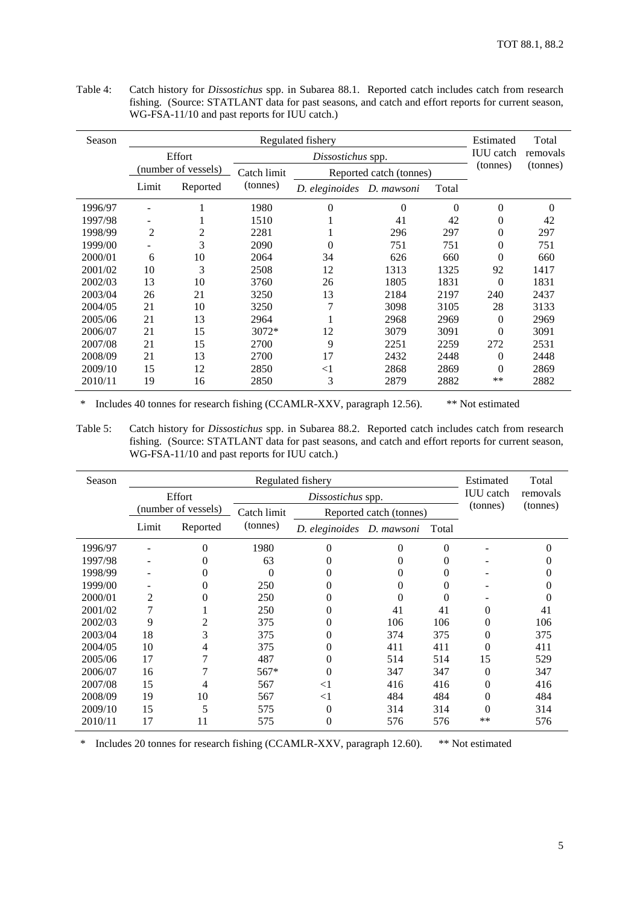| Season  |                | Estimated           | Total       |                   |                         |          |                  |          |
|---------|----------------|---------------------|-------------|-------------------|-------------------------|----------|------------------|----------|
|         |                | Effort              |             | Dissostichus spp. |                         |          | <b>IUU</b> catch | removals |
|         |                | (number of vessels) | Catch limit |                   | Reported catch (tonnes) |          | (tonnes)         | (tonnes) |
|         | Limit          | Reported            | (tonnes)    | D. eleginoides    | D. mawsoni              | Total    |                  |          |
| 1996/97 |                |                     | 1980        | $\theta$          | $\Omega$                | $\Omega$ | $\theta$         | $\theta$ |
| 1997/98 |                |                     | 1510        |                   | 41                      | 42       | $\theta$         | 42       |
| 1998/99 | $\overline{2}$ | 2                   | 2281        |                   | 296                     | 297      | $\theta$         | 297      |
| 1999/00 |                | 3                   | 2090        | 0                 | 751                     | 751      | 0                | 751      |
| 2000/01 | 6              | 10                  | 2064        | 34                | 626                     | 660      | $\theta$         | 660      |
| 2001/02 | 10             | 3                   | 2508        | 12                | 1313                    | 1325     | 92               | 1417     |
| 2002/03 | 13             | 10                  | 3760        | 26                | 1805                    | 1831     | $\theta$         | 1831     |
| 2003/04 | 26             | 21                  | 3250        | 13                | 2184                    | 2197     | 240              | 2437     |
| 2004/05 | 21             | 10                  | 3250        | $\overline{7}$    | 3098                    | 3105     | 28               | 3133     |
| 2005/06 | 21             | 13                  | 2964        |                   | 2968                    | 2969     | $\theta$         | 2969     |
| 2006/07 | 21             | 15                  | $3072*$     | 12                | 3079                    | 3091     | $\Omega$         | 3091     |
| 2007/08 | 21             | 15                  | 2700        | 9                 | 2251                    | 2259     | 272              | 2531     |
| 2008/09 | 21             | 13                  | 2700        | 17                | 2432                    | 2448     | $\theta$         | 2448     |
| 2009/10 | 15             | 12                  | 2850        | $<$ 1             | 2868                    | 2869     | $\theta$         | 2869     |
| 2010/11 | 19             | 16                  | 2850        | 3                 | 2879                    | 2882     | $***$            | 2882     |

Table 4: Catch history for *Dissostichus* spp. in Subarea 88.1. Reported catch includes catch from research fishing. (Source: STATLANT data for past seasons, and catch and effort reports for current season, WG-FSA-11/10 and past reports for IUU catch.)

\* Includes 40 tonnes for research fishing (CCAMLR-XXV, paragraph 12.56). \*\* Not estimated

Table 5: Catch history for *Dissostichus* spp. in Subarea 88.2. Reported catch includes catch from research fishing. (Source: STATLANT data for past seasons, and catch and effort reports for current season, WG-FSA-11/10 and past reports for IUU catch.)

| Season  |       |                     | Estimated   | Total                     |                         |          |                  |          |
|---------|-------|---------------------|-------------|---------------------------|-------------------------|----------|------------------|----------|
|         |       | Effort              |             | Dissostichus spp.         |                         |          | <b>IUU</b> catch | removals |
|         |       | (number of vessels) | Catch limit |                           | Reported catch (tonnes) |          | (tonnes)         | (tonnes) |
|         | Limit | Reported            | (tonnes)    | D. eleginoides D. mawsoni |                         | Total    |                  |          |
| 1996/97 |       | 0                   | 1980        | 0                         | 0                       | $\Omega$ |                  |          |
| 1997/98 |       |                     | 63          |                           | 0                       | 0        |                  |          |
| 1998/99 |       |                     | $\theta$    |                           |                         |          |                  |          |
| 1999/00 |       |                     | 250         |                           | 0                       | $\theta$ |                  |          |
| 2000/01 | 2     |                     | 250         |                           | 0                       | $\theta$ |                  |          |
| 2001/02 |       |                     | 250         |                           | 41                      | 41       | 0                | 41       |
| 2002/03 | 9     |                     | 375         |                           | 106                     | 106      | 0                | 106      |
| 2003/04 | 18    | 3                   | 375         |                           | 374                     | 375      | 0                | 375      |
| 2004/05 | 10    | 4                   | 375         | 0                         | 411                     | 411      | 0                | 411      |
| 2005/06 | 17    |                     | 487         | $\Omega$                  | 514                     | 514      | 15               | 529      |
| 2006/07 | 16    |                     | $567*$      | 0                         | 347                     | 347      | 0                | 347      |
| 2007/08 | 15    |                     | 567         | $<$ 1                     | 416                     | 416      | 0                | 416      |
| 2008/09 | 19    | 10                  | 567         | $<$ 1                     | 484                     | 484      | 0                | 484      |
| 2009/10 | 15    | 5                   | 575         | $\theta$                  | 314<br>314              |          | 0                | 314      |
| 2010/11 | 17    | 11                  | 575         | $\Omega$                  | 576                     | 576      | **               | 576      |

\* Includes 20 tonnes for research fishing (CCAMLR-XXV, paragraph 12.60). \*\* Not estimated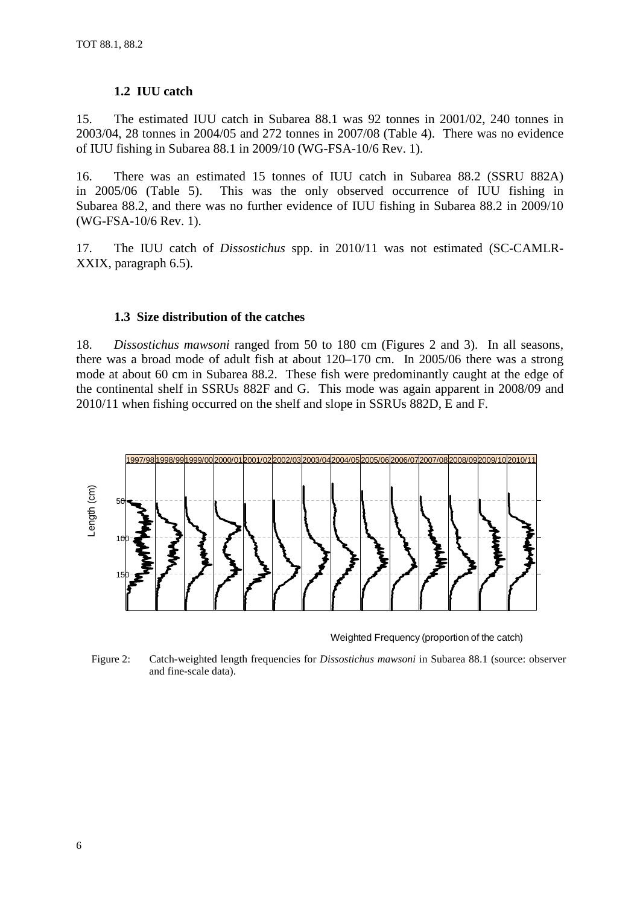# **1.2 IUU catch**

15. The estimated IUU catch in Subarea 88.1 was 92 tonnes in 2001/02, 240 tonnes in 2003/04, 28 tonnes in 2004/05 and 272 tonnes in 2007/08 (Table 4). There was no evidence of IUU fishing in Subarea 88.1 in 2009/10 (WG-FSA-10/6 Rev. 1).

16. There was an estimated 15 tonnes of IUU catch in Subarea 88.2 (SSRU 882A) in 2005/06 (Table 5). This was the only observed occurrence of IUU fishing in Subarea 88.2, and there was no further evidence of IUU fishing in Subarea 88.2 in 2009/10 (WG-FSA-10/6 Rev. 1).

17. The IUU catch of *Dissostichus* spp. in 2010/11 was not estimated (SC-CAMLR-XXIX, paragraph 6.5).

# **1.3 Size distribution of the catches**

18. *Dissostichus mawsoni* ranged from 50 to 180 cm (Figures 2 and 3). In all seasons, there was a broad mode of adult fish at about 120–170 cm. In 2005/06 there was a strong mode at about 60 cm in Subarea 88.2. These fish were predominantly caught at the edge of the continental shelf in SSRUs 882F and G. This mode was again apparent in 2008/09 and 2010/11 when fishing occurred on the shelf and slope in SSRUs 882D, E and F.



Weighted Frequency (proportion of the catch)

Figure 2: Catch-weighted length frequencies for *Dissostichus mawsoni* in Subarea 88.1 (source: observer and fine-scale data).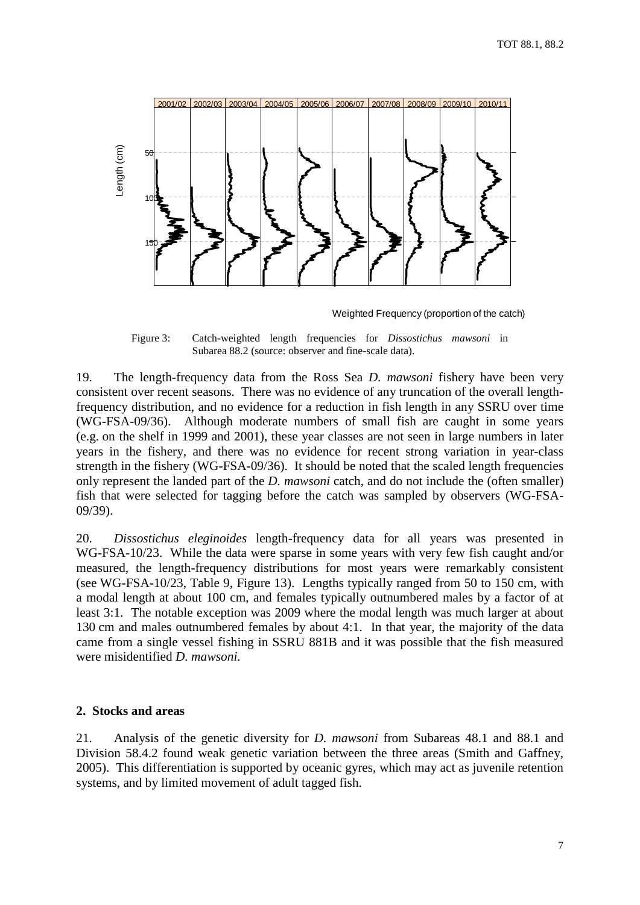<span id="page-10-0"></span>

Weighted Frequency (proportion of the catch)

Figure 3: Catch-weighted length frequencies for *Dissostichus mawsoni* in Subarea 88.2 (source: observer and fine-scale data).

19. The length-frequency data from the Ross Sea *D. mawsoni* fishery have been very consistent over recent seasons. There was no evidence of any truncation of the overall lengthfrequency distribution, and no evidence for a reduction in fish length in any SSRU over time (WG-FSA-09/36). Although moderate numbers of small fish are caught in some years (e.g. on the shelf in 1999 and 2001), these year classes are not seen in large numbers in later years in the fishery, and there was no evidence for recent strong variation in year-class strength in the fishery (WG-FSA-09/36). It should be noted that the scaled length frequencies only represent the landed part of the *D. mawsoni* catch, and do not include the (often smaller) fish that were selected for tagging before the catch was sampled by observers (WG-FSA-09/39).

20. *Dissostichus eleginoides* length-frequency data for all years was presented in WG-FSA-10/23. While the data were sparse in some years with very few fish caught and/or measured, the length-frequency distributions for most years were remarkably consistent (see WG-FSA-10/23, Table 9, Figure 13). Lengths typically ranged from 50 to 150 cm, with a modal length at about 100 cm, and females typically outnumbered males by a factor of at least 3:1. The notable exception was 2009 where the modal length was much larger at about 130 cm and males outnumbered females by about 4:1. In that year, the majority of the data came from a single vessel fishing in SSRU 881B and it was possible that the fish measured were misidentified *D. mawsoni.*

# **2. Stocks and areas**

21. Analysis of the genetic diversity for *D. mawsoni* from Subareas 48.1 and 88.1 and Division 58.4.2 found weak genetic variation between the three areas (Smith and Gaffney, 2005). This differentiation is supported by oceanic gyres, which may act as juvenile retention systems, and by limited movement of adult tagged fish.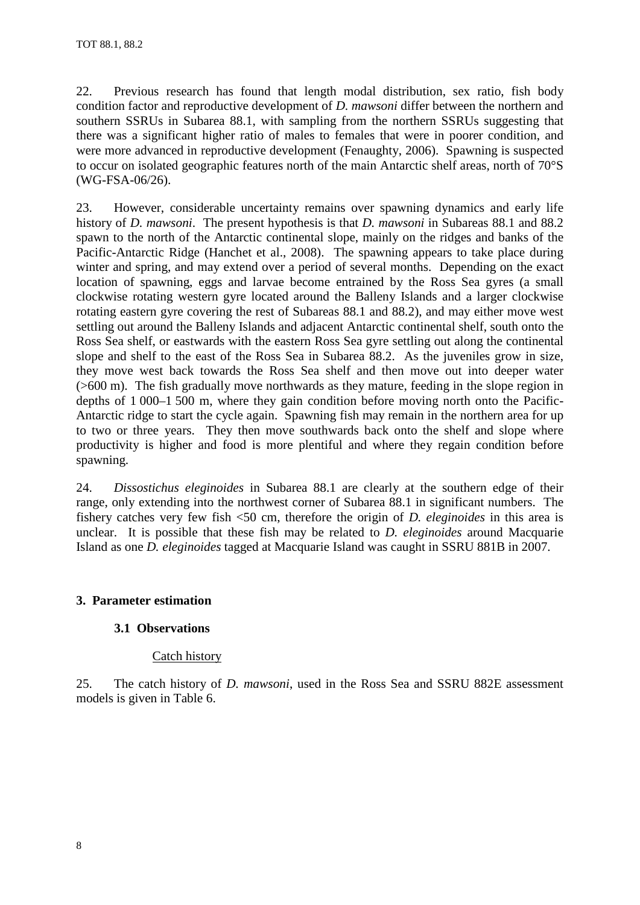<span id="page-11-0"></span>22. Previous research has found that length modal distribution, sex ratio, fish body condition factor and reproductive development of *D. mawsoni* differ between the northern and southern SSRUs in Subarea 88.1, with sampling from the northern SSRUs suggesting that there was a significant higher ratio of males to females that were in poorer condition, and were more advanced in reproductive development (Fenaughty, 2006). Spawning is suspected to occur on isolated geographic features north of the main Antarctic shelf areas, north of 70°S (WG-FSA-06/26).

23. However, considerable uncertainty remains over spawning dynamics and early life history of *D. mawsoni*. The present hypothesis is that *D. mawsoni* in Subareas 88.1 and 88.2 spawn to the north of the Antarctic continental slope, mainly on the ridges and banks of the Pacific-Antarctic Ridge (Hanchet et al., 2008). The spawning appears to take place during winter and spring, and may extend over a period of several months. Depending on the exact location of spawning, eggs and larvae become entrained by the Ross Sea gyres (a small clockwise rotating western gyre located around the Balleny Islands and a larger clockwise rotating eastern gyre covering the rest of Subareas 88.1 and 88.2), and may either move west settling out around the Balleny Islands and adjacent Antarctic continental shelf, south onto the Ross Sea shelf, or eastwards with the eastern Ross Sea gyre settling out along the continental slope and shelf to the east of the Ross Sea in Subarea 88.2. As the juveniles grow in size, they move west back towards the Ross Sea shelf and then move out into deeper water (>600 m). The fish gradually move northwards as they mature, feeding in the slope region in depths of 1 000–1 500 m, where they gain condition before moving north onto the Pacific-Antarctic ridge to start the cycle again. Spawning fish may remain in the northern area for up to two or three years. They then move southwards back onto the shelf and slope where productivity is higher and food is more plentiful and where they regain condition before spawning.

24. *Dissostichus eleginoides* in Subarea 88.1 are clearly at the southern edge of their range, only extending into the northwest corner of Subarea 88.1 in significant numbers. The fishery catches very few fish <50 cm, therefore the origin of *D. eleginoides* in this area is unclear. It is possible that these fish may be related to *D. eleginoides* around Macquarie Island as one *D. eleginoides* tagged at Macquarie Island was caught in SSRU 881B in 2007.

# **3. Parameter estimation**

# **3.1 Observations**

# Catch history

25. The catch history of *D. mawsoni*, used in the Ross Sea and SSRU 882E assessment models is given in Table 6.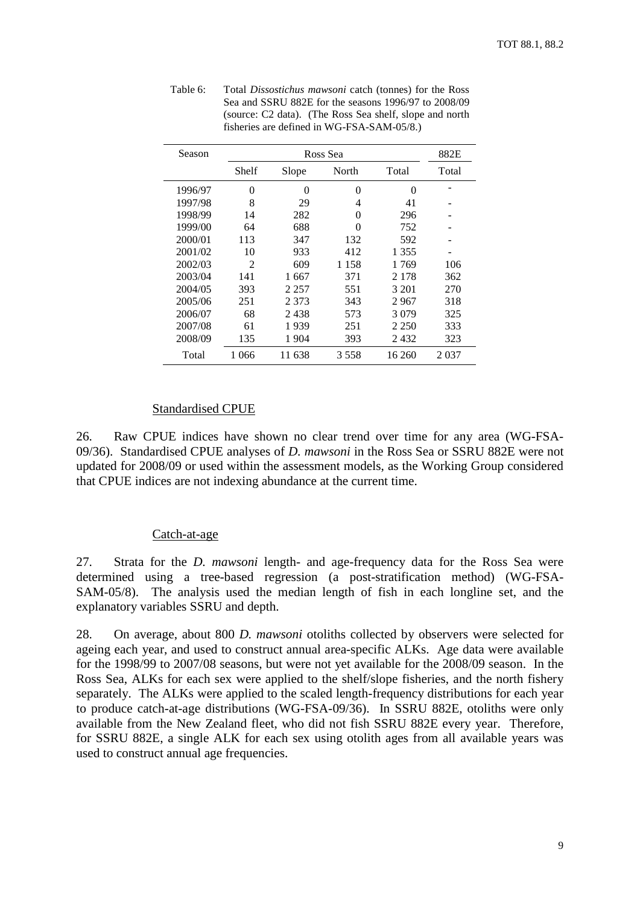| Season  |                | 882E    |       |         |       |
|---------|----------------|---------|-------|---------|-------|
|         | Shelf          | Slope   | North | Total   | Total |
| 1996/97 | 0              | 0       | 0     | 0       |       |
| 1997/98 | 8              | 29      | 4     | 41      |       |
| 1998/99 | 14             | 282     | 0     | 296     |       |
| 1999/00 | 64             | 688     | 0     | 752     |       |
| 2000/01 | 113            | 347     | 132   | 592     |       |
| 2001/02 | 10             | 933     | 412   | 1 355   |       |
| 2002/03 | $\mathfrak{D}$ | 609     | 1 158 | 1 769   | 106   |
| 2003/04 | 141            | 1667    | 371   | 2 1 7 8 | 362   |
| 2004/05 | 393            | 2 2 5 7 | 551   | 3 201   | 270   |
| 2005/06 | 251            | 2 3 7 3 | 343   | 2967    | 318   |
| 2006/07 | 68             | 2438    | 573   | 3079    | 325   |
| 2007/08 | 61             | 1939    | 251   | 2 2 5 0 | 333   |
| 2008/09 | 135            | 1904    | 393   | 2432    | 323   |
| Total   | 1 0 6 6        | 11 638  | 3558  | 16 260  | 2037  |

Table 6: Total *Dissostichus mawsoni* catch (tonnes) for the Ross Sea and SSRU 882E for the seasons 1996/97 to 2008/09 (source: C2 data). (The Ross Sea shelf, slope and north fisheries are defined in WG-FSA-SAM-05/8.)

### Standardised CPUE

26. Raw CPUE indices have shown no clear trend over time for any area (WG-FSA-09/36). Standardised CPUE analyses of *D. mawsoni* in the Ross Sea or SSRU 882E were not updated for 2008/09 or used within the assessment models, as the Working Group considered that CPUE indices are not indexing abundance at the current time.

#### Catch-at-age

27. Strata for the *D. mawsoni* length- and age-frequency data for the Ross Sea were determined using a tree-based regression (a post-stratification method) (WG-FSA-SAM-05/8). The analysis used the median length of fish in each longline set, and the explanatory variables SSRU and depth.

28. On average, about 800 *D. mawsoni* otoliths collected by observers were selected for ageing each year, and used to construct annual area-specific ALKs. Age data were available for the 1998/99 to 2007/08 seasons, but were not yet available for the 2008/09 season. In the Ross Sea, ALKs for each sex were applied to the shelf/slope fisheries, and the north fishery separately. The ALKs were applied to the scaled length-frequency distributions for each year to produce catch-at-age distributions (WG-FSA-09/36). In SSRU 882E, otoliths were only available from the New Zealand fleet, who did not fish SSRU 882E every year. Therefore, for SSRU 882E, a single ALK for each sex using otolith ages from all available years was used to construct annual age frequencies.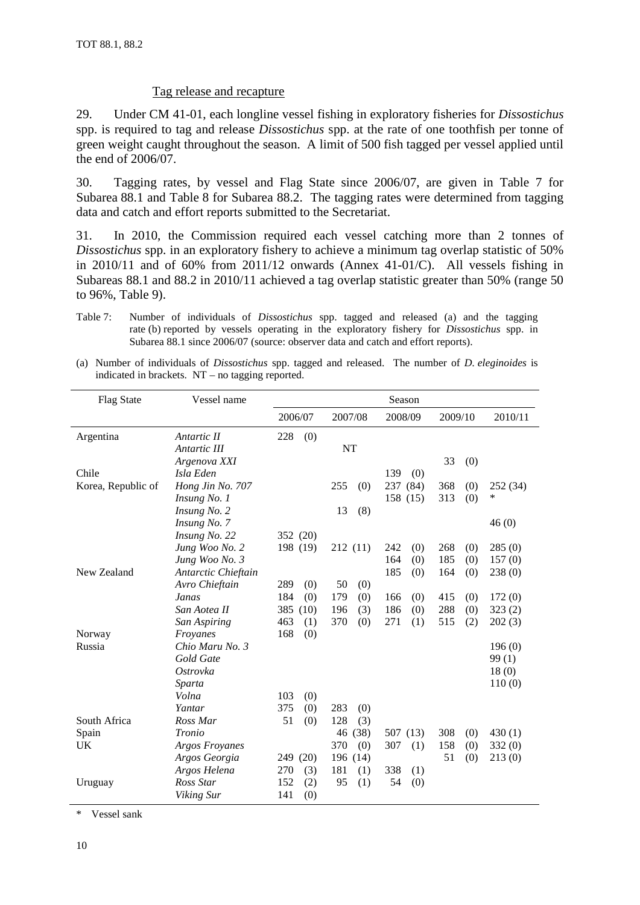# Tag release and recapture

29. Under CM 41-01, each longline vessel fishing in exploratory fisheries for *Dissostichus*  spp. is required to tag and release *Dissostichus* spp. at the rate of one toothfish per tonne of green weight caught throughout the season. A limit of 500 fish tagged per vessel applied until the end of 2006/07.

30. Tagging rates, by vessel and Flag State since 2006/07, are given in Table 7 for Subarea 88.1 and Table 8 for Subarea 88.2. The tagging rates were determined from tagging data and catch and effort reports submitted to the Secretariat.

31. In 2010, the Commission required each vessel catching more than 2 tonnes of *Dissostichus* spp. in an exploratory fishery to achieve a minimum tag overlap statistic of 50% in 2010/11 and of 60% from 2011/12 onwards (Annex 41-01/C). All vessels fishing in Subareas 88.1 and 88.2 in 2010/11 achieved a tag overlap statistic greater than 50% (range 50 to 96%, Table 9).

(a) Number of individuals of *Dissostichus* spp. tagged and released. The number of *D. eleginoides* is indicated in brackets. NT – no tagging reported.

| <b>Flag State</b>  | Vessel name         |             |             |             |            |          |
|--------------------|---------------------|-------------|-------------|-------------|------------|----------|
|                    |                     | 2006/07     | 2007/08     | 2008/09     | 2009/10    | 2010/11  |
| Argentina          | Antartic II         | 228<br>(0)  |             |             |            |          |
|                    | Antartic III        |             | <b>NT</b>   |             |            |          |
|                    | Argenova XXI        |             |             |             | 33<br>(0)  |          |
| Chile              | Isla Eden           |             |             | 139<br>(0)  |            |          |
| Korea, Republic of | Hong Jin No. 707    |             | 255<br>(0)  | 237<br>(84) | 368<br>(0) | 252 (34) |
|                    | Insung No. 1        |             |             | 158 (15)    | 313<br>(0) | $\ast$   |
|                    | Insung No. 2        |             | 13<br>(8)   |             |            |          |
|                    | Insung No. 7        |             |             |             |            | 46(0)    |
|                    | Insung No. 22       | 352 (20)    |             |             |            |          |
|                    | Jung Woo No. 2      | 198 (19)    | 212(11)     | 242<br>(0)  | 268<br>(0) | 285(0)   |
|                    | Jung Woo No. 3      |             |             | 164<br>(0)  | 185<br>(0) | 157(0)   |
| New Zealand        | Antarctic Chieftain |             |             | 185<br>(0)  | 164<br>(0) | 238 (0)  |
|                    | Avro Chieftain      | 289<br>(0)  | 50<br>(0)   |             |            |          |
|                    | Janas               | 184<br>(0)  | 179<br>(0)  | 166<br>(0)  | 415<br>(0) | 172(0)   |
|                    | San Aotea II        | 385<br>(10) | 196<br>(3)  | 186<br>(0)  | 288<br>(0) | 323(2)   |
|                    | San Aspiring        | 463<br>(1)  | 370<br>(0)  | 271<br>(1)  | 515<br>(2) | 202(3)   |
| Norway             | Froyanes            | 168<br>(0)  |             |             |            |          |
| Russia             | Chio Maru No. 3     |             |             |             |            | 196(0)   |
|                    | Gold Gate           |             |             |             |            | 99(1)    |
|                    | Ostrovka            |             |             |             |            | 18(0)    |
|                    | Sparta              |             |             |             |            | 110(0)   |
|                    | Volna               | 103<br>(0)  |             |             |            |          |
|                    | Yantar              | 375<br>(0)  | 283<br>(0)  |             |            |          |
| South Africa       | Ross Mar            | 51<br>(0)   | 128<br>(3)  |             |            |          |
| Spain              | Tronio              |             | 46<br>(38)  | 507 (13)    | 308<br>(0) | 430(1)   |
| UK                 | Argos Froyanes      |             | 370<br>(0)  | 307<br>(1)  | 158<br>(0) | 332(0)   |
|                    | Argos Georgia       | 249<br>(20) | 196<br>(14) |             | 51<br>(0)  | 213(0)   |
|                    | Argos Helena        | 270<br>(3)  | 181<br>(1)  | 338<br>(1)  |            |          |
| Uruguay            | Ross Star           | 152<br>(2)  | 95<br>(1)   | 54<br>(0)   |            |          |
|                    | Viking Sur          | 141<br>(0)  |             |             |            |          |

\* Vessel sank

Table 7: Number of individuals of *Dissostichus* spp. tagged and released (a) and the tagging rate (b) reported by vessels operating in the exploratory fishery for *Dissostichus* spp. in Subarea 88.1 since 2006/07 (source: observer data and catch and effort reports).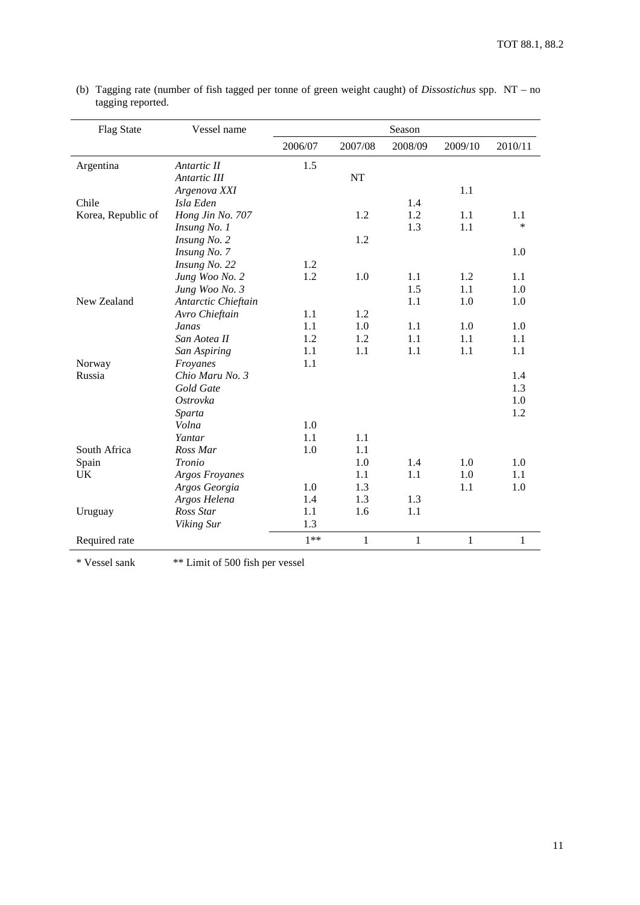| <b>Flag State</b>  | Vessel name         |         |              | Season       |              |              |
|--------------------|---------------------|---------|--------------|--------------|--------------|--------------|
|                    |                     | 2006/07 | 2007/08      | 2008/09      | 2009/10      | 2010/11      |
| Argentina          | Antartic II         | 1.5     |              |              |              |              |
|                    | Antartic III        |         | NT           |              |              |              |
|                    | Argenova XXI        |         |              |              | 1.1          |              |
| Chile              | Isla Eden           |         |              | 1.4          |              |              |
| Korea, Republic of | Hong Jin No. 707    |         | 1.2          | 1.2          | 1.1          | 1.1          |
|                    | Insung No. 1        |         |              | 1.3          | 1.1          | *            |
|                    | Insung No. 2        |         | 1.2          |              |              |              |
|                    | Insung No. 7        |         |              |              |              | 1.0          |
|                    | Insung No. 22       | 1.2     |              |              |              |              |
|                    | Jung Woo No. 2      | 1.2     | 1.0          | 1.1          | 1.2          | 1.1          |
|                    | Jung Woo No. 3      |         |              | 1.5          | 1.1          | 1.0          |
| New Zealand        | Antarctic Chieftain |         |              | 1.1          | 1.0          | 1.0          |
|                    | Avro Chieftain      | 1.1     | 1.2          |              |              |              |
|                    | Janas               | 1.1     | 1.0          | 1.1          | 1.0          | 1.0          |
|                    | San Aotea II        | 1.2     | 1.2          | 1.1          | 1.1          | 1.1          |
|                    | San Aspiring        | 1.1     | 1.1          | 1.1          | 1.1          | 1.1          |
| Norway             | Froyanes            | 1.1     |              |              |              |              |
| Russia             | Chio Maru No. 3     |         |              |              |              | 1.4          |
|                    | Gold Gate           |         |              |              |              | 1.3          |
|                    | Ostrovka            |         |              |              |              | 1.0          |
|                    | Sparta              |         |              |              |              | 1.2          |
|                    | Volna               | 1.0     |              |              |              |              |
|                    | Yantar              | 1.1     | 1.1          |              |              |              |
| South Africa       | Ross Mar            | 1.0     | 1.1          |              |              |              |
| Spain              | Tronio              |         | 1.0          | 1.4          | 1.0          | 1.0          |
| UK                 | Argos Froyanes      |         | 1.1          | 1.1          | 1.0          | 1.1          |
|                    | Argos Georgia       | 1.0     | 1.3          |              | 1.1          | 1.0          |
|                    | Argos Helena        | 1.4     | 1.3          | 1.3          |              |              |
| Uruguay            | Ross Star           | 1.1     | 1.6          | 1.1          |              |              |
|                    | Viking Sur          | 1.3     |              |              |              |              |
| Required rate      |                     | $1**$   | $\mathbf{1}$ | $\mathbf{1}$ | $\mathbf{1}$ | $\mathbf{1}$ |

(b) Tagging rate (number of fish tagged per tonne of green weight caught) of *Dissostichus* spp. NT – no tagging reported.

\* Vessel sank \*\* Limit of 500 fish per vessel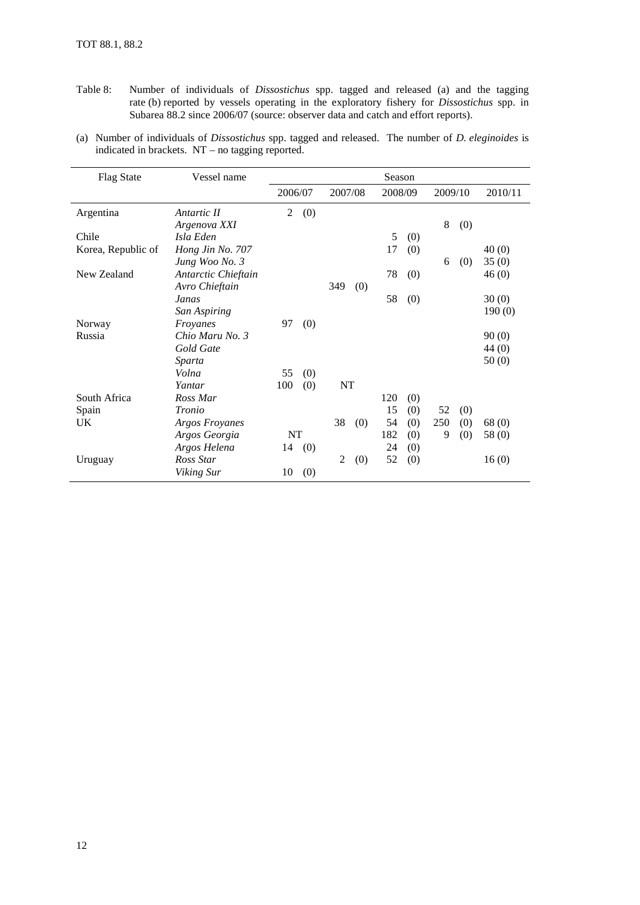- Table 8: Number of individuals of *Dissostichus* spp. tagged and released (a) and the tagging rate (b) reported by vessels operating in the exploratory fishery for *Dissostichus* spp. in Subarea 88.2 since 2006/07 (source: observer data and catch and effort reports).
- (a) Number of individuals of *Dissostichus* spp. tagged and released. The number of *D. eleginoides* is indicated in brackets. NT – no tagging reported.

| <b>Flag State</b>  | Vessel name           |         | Season |                |     |         |     |         |     |         |
|--------------------|-----------------------|---------|--------|----------------|-----|---------|-----|---------|-----|---------|
|                    |                       | 2006/07 |        | 2007/08        |     | 2008/09 |     | 2009/10 |     | 2010/11 |
| Argentina          | Antartic II           | 2       | (0)    |                |     |         |     |         |     |         |
|                    | Argenova XXI          |         |        |                |     |         |     | 8       | (0) |         |
| Chile              | Isla Eden             |         |        |                |     | 5       | (0) |         |     |         |
| Korea, Republic of | Hong Jin No. 707      |         |        |                |     | 17      | (0) |         |     | 40(0)   |
|                    | Jung Woo No. 3        |         |        |                |     |         |     | 6       | (0) | 35(0)   |
| New Zealand        | Antarctic Chieftain   |         |        |                |     | 78      | (0) |         |     | 46(0)   |
|                    | Avro Chieftain        |         |        | 349            | (0) |         |     |         |     |         |
|                    | Janas                 |         |        |                |     | 58      | (0) |         |     | 30(0)   |
|                    | San Aspiring          |         |        |                |     |         |     |         |     | 190(0)  |
| Norway             | Froyanes              | 97      | (0)    |                |     |         |     |         |     |         |
| Russia             | Chio Maru No. 3       |         |        |                |     |         |     |         |     | 90(0)   |
|                    | Gold Gate             |         |        |                |     |         |     |         |     | 44(0)   |
|                    | Sparta                |         |        |                |     |         |     |         |     | 50(0)   |
|                    | Volna                 | 55      | (0)    |                |     |         |     |         |     |         |
|                    | Yantar                | 100     | (0)    | NT             |     |         |     |         |     |         |
| South Africa       | Ross Mar              |         |        |                |     | 120     | (0) |         |     |         |
| Spain              | Tronio                |         |        |                |     | 15      | (0) | 52      | (0) |         |
| UK                 | <b>Argos Froyanes</b> |         |        | 38             | (0) | 54      | (0) | 250     | (0) | 68(0)   |
|                    | Argos Georgia         | NT      |        |                |     | 182     | (0) | 9       | (0) | 58 (0)  |
|                    | Argos Helena          | 14      | (0)    |                |     | 24      | (0) |         |     |         |
| Uruguay            | Ross Star             |         |        | $\overline{2}$ | (0) | 52      | (0) |         |     | 16(0)   |
|                    | Viking Sur            | 10      | (0)    |                |     |         |     |         |     |         |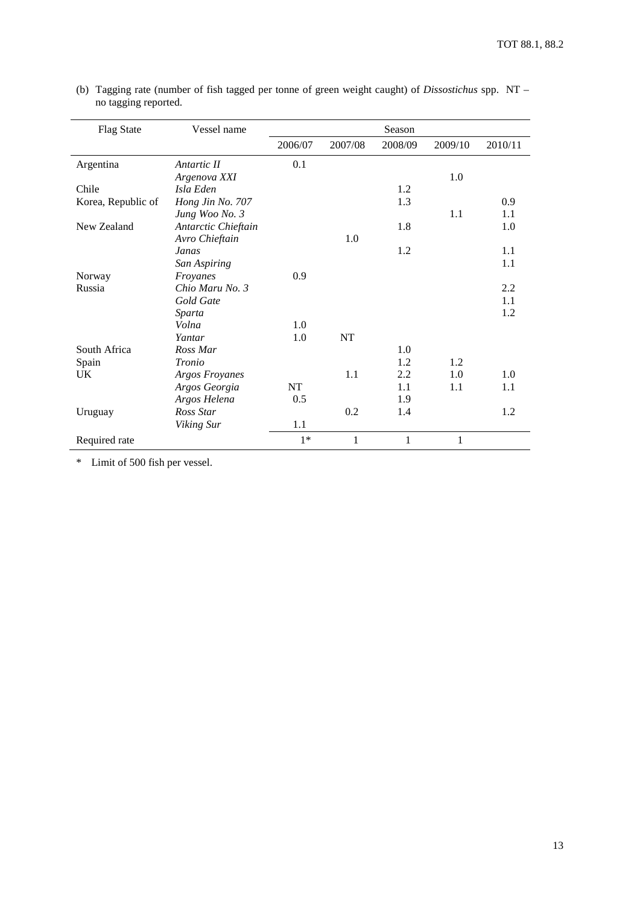| <b>Flag State</b>  | Vessel name           |         |              | Season  |         |         |
|--------------------|-----------------------|---------|--------------|---------|---------|---------|
|                    |                       | 2006/07 | 2007/08      | 2008/09 | 2009/10 | 2010/11 |
| Argentina          | Antartic II           | 0.1     |              |         |         |         |
|                    | Argenova XXI          |         |              |         | 1.0     |         |
| Chile              | Isla Eden             |         |              | 1.2     |         |         |
| Korea, Republic of | Hong Jin No. 707      |         |              | 1.3     |         | 0.9     |
|                    | Jung Woo No. 3        |         |              |         | 1.1     | 1.1     |
| New Zealand        | Antarctic Chieftain   |         |              | 1.8     |         | 1.0     |
|                    | Avro Chieftain        |         | 1.0          |         |         |         |
|                    | Janas                 |         |              | 1.2     |         | 1.1     |
|                    | San Aspiring          |         |              |         |         | 1.1     |
| Norway             | Froyanes              | 0.9     |              |         |         |         |
| Russia             | Chio Maru No. 3       |         |              |         |         | 2.2     |
|                    | Gold Gate             |         |              |         |         | 1.1     |
|                    | Sparta                |         |              |         |         | 1.2     |
|                    | Volna                 | 1.0     |              |         |         |         |
|                    | Yantar                | 1.0     | NT           |         |         |         |
| South Africa       | Ross Mar              |         |              | 1.0     |         |         |
| Spain              | Tronio                |         |              | 1.2     | 1.2     |         |
| UK                 | <b>Argos Froyanes</b> |         | 1.1          | 2.2     | 1.0     | 1.0     |
|                    | Argos Georgia         | NT      |              | 1.1     | 1.1     | 1.1     |
|                    | Argos Helena          | 0.5     |              | 1.9     |         |         |
| Uruguay            | Ross Star             |         | 0.2          | 1.4     |         | 1.2     |
|                    | Viking Sur            | 1.1     |              |         |         |         |
| Required rate      |                       | $1*$    | $\mathbf{1}$ | 1       | 1       |         |

(b) Tagging rate (number of fish tagged per tonne of green weight caught) of *Dissostichus* spp. NT – no tagging reported.

\* Limit of 500 fish per vessel.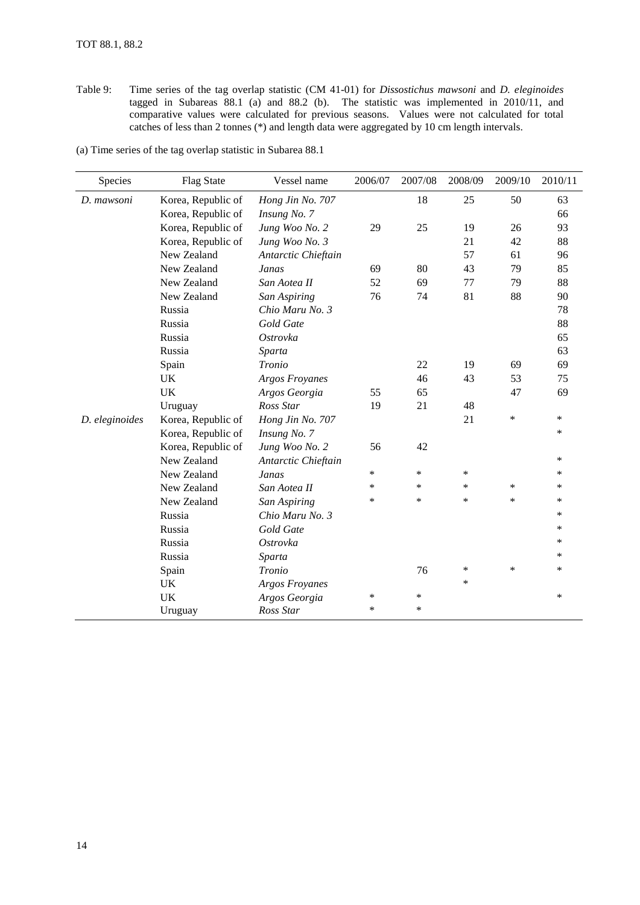Table 9: Time series of the tag overlap statistic (CM 41-01) for *Dissostichus mawsoni* and *D. eleginoides* tagged in Subareas 88.1 (a) and 88.2 (b). The statistic was implemented in 2010/11, and comparative values were calculated for previous seasons. Values were not calculated for total catches of less than 2 tonnes (\*) and length data were aggregated by 10 cm length intervals.

(a) Time series of the tag overlap statistic in Subarea 88.1

| Species        | <b>Flag State</b>  | Vessel name           | 2006/07 | 2007/08 | 2008/09 | 2009/10 | 2010/11 |
|----------------|--------------------|-----------------------|---------|---------|---------|---------|---------|
| D. mawsoni     | Korea, Republic of | Hong Jin No. 707      |         | 18      | 25      | 50      | 63      |
|                | Korea, Republic of | Insung No. 7          |         |         |         |         | 66      |
|                | Korea, Republic of | Jung Woo No. 2        | 29      | 25      | 19      | 26      | 93      |
|                | Korea, Republic of | Jung Woo No. 3        |         |         | 21      | 42      | 88      |
|                | New Zealand        | Antarctic Chieftain   |         |         | 57      | 61      | 96      |
|                | New Zealand        | Janas                 | 69      | 80      | 43      | 79      | 85      |
|                | New Zealand        | San Aotea II          | 52      | 69      | 77      | 79      | 88      |
|                | New Zealand        | San Aspiring          | 76      | 74      | 81      | 88      | 90      |
|                | Russia             | Chio Maru No. 3       |         |         |         |         | 78      |
|                | Russia             | Gold Gate             |         |         |         |         | 88      |
|                | Russia             | Ostrovka              |         |         |         |         | 65      |
|                | Russia             | Sparta                |         |         |         |         | 63      |
|                | Spain              | Tronio                |         | 22      | 19      | 69      | 69      |
|                | <b>UK</b>          | <b>Argos Froyanes</b> |         | 46      | 43      | 53      | 75      |
|                | <b>UK</b>          | Argos Georgia         | 55      | 65      |         | 47      | 69      |
|                | Uruguay            | Ross Star             | 19      | 21      | 48      |         |         |
| D. eleginoides | Korea, Republic of | Hong Jin No. 707      |         |         | 21      | $\ast$  | $\ast$  |
|                | Korea, Republic of | Insung No. 7          |         |         |         |         | $\ast$  |
|                | Korea, Republic of | Jung Woo No. 2        | 56      | 42      |         |         |         |
|                | New Zealand        | Antarctic Chieftain   |         |         |         |         | *       |
|                | New Zealand        | Janas                 | $\ast$  | $\ast$  | $\ast$  |         | $\ast$  |
|                | New Zealand        | San Aotea II          | $\ast$  | $\ast$  | $\ast$  | $\ast$  | $\ast$  |
|                | New Zealand        | San Aspiring          | $\ast$  | $\ast$  | $\ast$  | $\ast$  | $\ast$  |
|                | Russia             | Chio Maru No. 3       |         |         |         |         | $\ast$  |
|                | Russia             | Gold Gate             |         |         |         |         | $\ast$  |
|                | Russia             | Ostrovka              |         |         |         |         | $\ast$  |
|                | Russia             | Sparta                |         |         |         |         | *       |
|                | Spain              | Tronio                |         | 76      | ∗       | $\ast$  | $\ast$  |
|                | UK                 | <b>Argos Froyanes</b> |         |         | *       |         |         |
|                | <b>UK</b>          | Argos Georgia         | $\ast$  | $\ast$  |         |         | $\ast$  |
|                | Uruguay            | Ross Star             | $\ast$  | $\ast$  |         |         |         |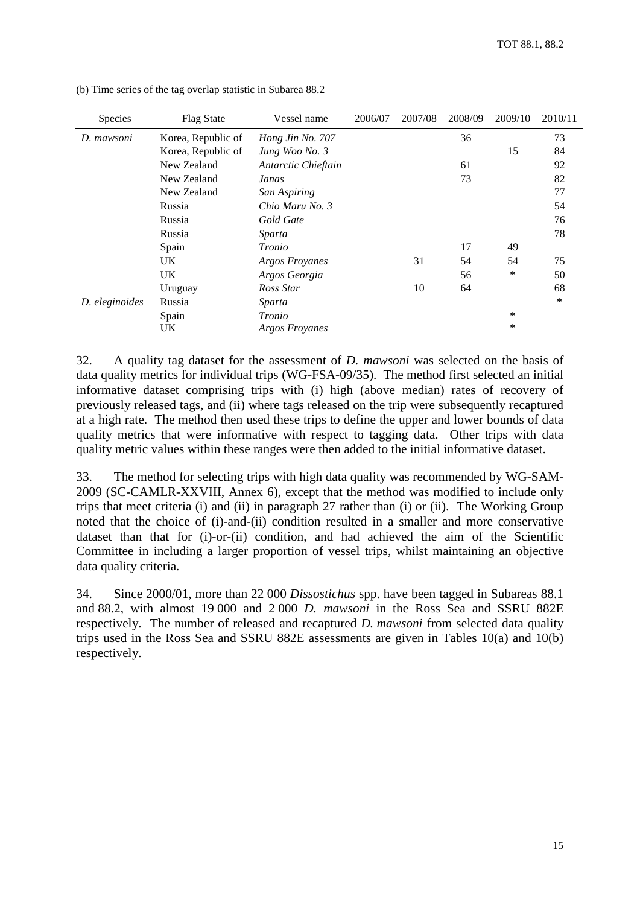| Species        | <b>Flag State</b>  | Vessel name           |  | 2007/08 | 2008/09 | 2009/10 | 2010/11 |
|----------------|--------------------|-----------------------|--|---------|---------|---------|---------|
| D. mawsoni     | Korea, Republic of | Hong Jin No. 707      |  |         | 36      |         | 73      |
|                | Korea, Republic of | Jung Woo No. 3        |  |         |         | 15      | 84      |
|                | New Zealand        | Antarctic Chieftain   |  |         | 61      |         | 92      |
|                | New Zealand        | Janas                 |  |         | 73      |         | 82      |
|                | New Zealand        | San Aspiring          |  |         |         |         | 77      |
|                | Russia             | Chio Maru No. 3       |  |         |         |         | 54      |
|                | Russia             | Gold Gate             |  |         |         |         | 76      |
|                | Russia             | Sparta                |  |         |         |         | 78      |
|                | Spain              | Tronio                |  |         | 17      | 49      |         |
|                | UK                 | <b>Argos Froyanes</b> |  | 31      | 54      | 54      | 75      |
|                | UK                 | Argos Georgia         |  |         | 56      | ∗       | 50      |
|                | Uruguay            | Ross Star             |  | 10      | 64      |         | 68      |
| D. eleginoides | Russia             | Sparta                |  |         |         |         | $\ast$  |
|                | Spain              | Tronio                |  |         |         | *       |         |
|                | UK                 | Argos Froyanes        |  |         |         | *       |         |

(b) Time series of the tag overlap statistic in Subarea 88.2

32. A quality tag dataset for the assessment of *D. mawsoni* was selected on the basis of data quality metrics for individual trips (WG-FSA-09/35). The method first selected an initial informative dataset comprising trips with (i) high (above median) rates of recovery of previously released tags, and (ii) where tags released on the trip were subsequently recaptured at a high rate. The method then used these trips to define the upper and lower bounds of data quality metrics that were informative with respect to tagging data. Other trips with data quality metric values within these ranges were then added to the initial informative dataset.

33. The method for selecting trips with high data quality was recommended by WG-SAM-2009 (SC-CAMLR-XXVIII, Annex 6), except that the method was modified to include only trips that meet criteria (i) and (ii) in paragraph 27 rather than (i) or (ii). The Working Group noted that the choice of (i)-and-(ii) condition resulted in a smaller and more conservative dataset than that for (i)-or-(ii) condition, and had achieved the aim of the Scientific Committee in including a larger proportion of vessel trips, whilst maintaining an objective data quality criteria.

34. Since 2000/01, more than 22 000 *Dissostichus* spp. have been tagged in Subareas 88.1 and 88.2, with almost 19 000 and 2 000 *D. mawsoni* in the Ross Sea and SSRU 882E respectively. The number of released and recaptured *D. mawsoni* from selected data quality trips used in the Ross Sea and SSRU 882E assessments are given in Tables 10(a) and 10(b) respectively.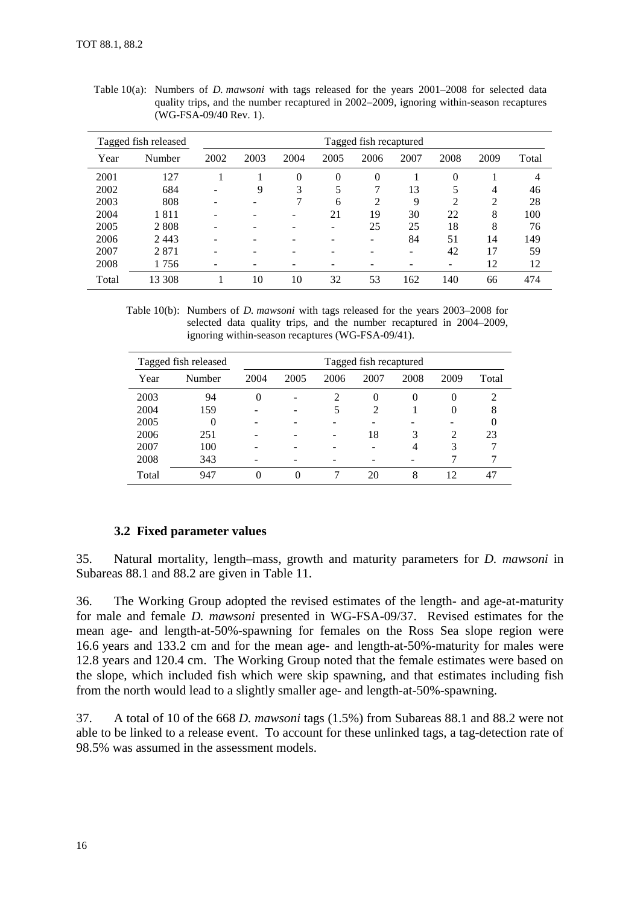|       | Tagged fish released | Tagged fish recaptured |      |      |          |          |      |      |      |       |
|-------|----------------------|------------------------|------|------|----------|----------|------|------|------|-------|
| Year  | Number               | 2002                   | 2003 | 2004 | 2005     | 2006     | 2007 | 2008 | 2009 | Total |
| 2001  | 127                  |                        |      | 0    | $\Omega$ | $\theta$ |      | 0    |      | 4     |
| 2002  | 684                  |                        | 9    | 3    | 5        | 7        | 13   |      | 4    | 46    |
| 2003  | 808                  |                        |      |      | 6        | 2        | 9    | ↑    | 2    | 28    |
| 2004  | 1811                 |                        |      |      | 21       | 19       | 30   | 22   | 8    | 100   |
| 2005  | 2 8 0 8              |                        |      |      | ۰        | 25       | 25   | 18   | 8    | 76    |
| 2006  | 2443                 |                        |      |      |          |          | 84   | 51   | 14   | 149   |
| 2007  | 2871                 |                        |      |      |          |          |      | 42   | 17   | 59    |
| 2008  | 1756                 |                        |      |      |          |          |      | -    | 12   | 12    |
| Total | 13 308               |                        | 10   | 10   | 32       | 53       | 162  | 140  | 66   | 474   |

Table 10(a): Numbers of *D. mawsoni* with tags released for the years 2001–2008 for selected data quality trips, and the number recaptured in 2002–2009, ignoring within-season recaptures (WG-FSA-09/40 Rev. 1).

Table 10(b): Numbers of *D. mawsoni* with tags released for the years 2003–2008 for selected data quality trips, and the number recaptured in 2004–2009, ignoring within-season recaptures (WG-FSA-09/41).

|       | Tagged fish released |      | Tagged fish recaptured |                             |      |      |               |       |  |
|-------|----------------------|------|------------------------|-----------------------------|------|------|---------------|-------|--|
| Year  | Number               | 2004 | 2005                   | 2006                        | 2007 | 2008 | 2009          | Total |  |
| 2003  | 94                   | 0    |                        | $\mathcal{D}_{\mathcal{L}}$ | 0    | 0    | 0             |       |  |
| 2004  | 159                  |      |                        | 5                           | 2    |      | 0             | 8     |  |
| 2005  | 0                    |      |                        |                             |      |      |               |       |  |
| 2006  | 251                  |      |                        |                             | 18   | 3    | $\mathcal{L}$ | 23    |  |
| 2007  | 100                  |      |                        |                             |      | 4    | 3             |       |  |
| 2008  | 343                  |      |                        |                             |      |      |               |       |  |
| Total | 947                  | 0    |                        |                             | 20   | 8    | 12            |       |  |

# **3.2 Fixed parameter values**

35. Natural mortality, length–mass, growth and maturity parameters for *D. mawsoni* in Subareas 88.1 and 88.2 are given in Table 11.

36. The Working Group adopted the revised estimates of the length- and age-at-maturity for male and female *D. mawsoni* presented in WG-FSA-09/37. Revised estimates for the mean age- and length-at-50%-spawning for females on the Ross Sea slope region were 16.6 years and 133.2 cm and for the mean age- and length-at-50%-maturity for males were 12.8 years and 120.4 cm. The Working Group noted that the female estimates were based on the slope, which included fish which were skip spawning, and that estimates including fish from the north would lead to a slightly smaller age- and length-at-50%-spawning.

37. A total of 10 of the 668 *D. mawsoni* tags (1.5%) from Subareas 88.1 and 88.2 were not able to be linked to a release event. To account for these unlinked tags, a tag-detection rate of 98.5% was assumed in the assessment models.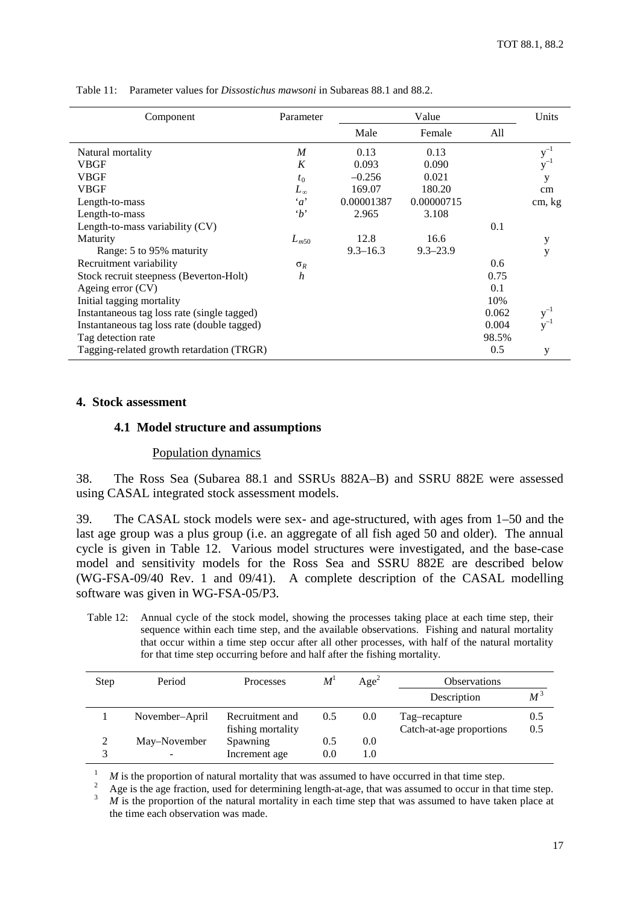| Component                                   | Parameter        |              | Value        |       |                   |
|---------------------------------------------|------------------|--------------|--------------|-------|-------------------|
|                                             |                  | Male         | Female       | All   |                   |
| Natural mortality                           | $\overline{M}$   | 0.13         | 0.13         |       | $\mathbf{y}^{-1}$ |
| <b>VBGF</b>                                 | K                | 0.093        | 0.090        |       | $y^{-1}$          |
| <b>VBGF</b>                                 | $t_0$            | $-0.256$     | 0.021        |       | y                 |
| <b>VBGF</b>                                 | $L_{\infty}$     | 169.07       | 180.20       |       | cm                |
| Length-to-mass                              | $\alpha$         | 0.00001387   | 0.00000715   |       | cm, kg            |
| Length-to-mass                              | $\cdot_b$        | 2.965        | 3.108        |       |                   |
| Length-to-mass variability $(CV)$           |                  |              |              | 0.1   |                   |
| Maturity                                    | $L_{m50}$        | 12.8         | 16.6         |       | у                 |
| Range: 5 to 95% maturity                    |                  | $9.3 - 16.3$ | $9.3 - 23.9$ |       | y                 |
| Recruitment variability                     | $\sigma_R$       |              |              | 0.6   |                   |
| Stock recruit steepness (Beverton-Holt)     | $\boldsymbol{h}$ |              |              | 0.75  |                   |
| Ageing error (CV)                           |                  |              |              | 0.1   |                   |
| Initial tagging mortality                   |                  |              |              | 10%   |                   |
| Instantaneous tag loss rate (single tagged) |                  |              |              | 0.062 | $y^{-}$           |
| Instantaneous tag loss rate (double tagged) |                  |              |              | 0.004 | $y^{-1}$          |
| Tag detection rate                          |                  |              |              | 98.5% |                   |
| Tagging-related growth retardation (TRGR)   |                  |              |              | 0.5   | y                 |

<span id="page-20-0"></span>Table 11: Parameter values for *Dissostichus mawsoni* in Subareas 88.1 and 88.2.

#### **4. Stock assessment**

#### **4.1 Model structure and assumptions**

#### Population dynamics

38. The Ross Sea (Subarea 88.1 and SSRUs 882A–B) and SSRU 882E were assessed using CASAL integrated stock assessment models.

39. The CASAL stock models were sex- and age-structured, with ages from 1–50 and the last age group was a plus group (i.e. an aggregate of all fish aged 50 and older). The annual cycle is given in Table 12. Various model structures were investigated, and the base-case model and sensitivity models for the Ross Sea and SSRU 882E are described below (WG-FSA-09/40 Rev. 1 and 09/41). A complete description of the CASAL modelling software was given in WG-FSA-05/P3.

Table 12: Annual cycle of the stock model, showing the processes taking place at each time step, their sequence within each time step, and the available observations. Fishing and natural mortality that occur within a time step occur after all other processes, with half of the natural mortality for that time step occurring before and half after the fishing mortality.

| Step | Period         | Processes                            | M   | Age <sup>2</sup> | <b>Observations</b>                       |                      |
|------|----------------|--------------------------------------|-----|------------------|-------------------------------------------|----------------------|
|      |                |                                      |     |                  | Description                               | $\overline{M}^{\,3}$ |
|      | November-April | Recruitment and<br>fishing mortality | 0.5 | 0.0              | Tag-recapture<br>Catch-at-age proportions | 0.5<br>0.5           |
|      | May–November   | Spawning                             | 0.5 | 0.0              |                                           |                      |
|      |                | Increment age                        | 0.0 | 1.0              |                                           |                      |

<sup>1</sup> *M* is the proportion of natural mortality that was assumed to have occurred in that time step.<br><sup>2</sup> Age is the age fraction, used for determining length-at-age, that was assumed to occur in that time step.<br><sup>3</sup> *M* is the time each observation was made.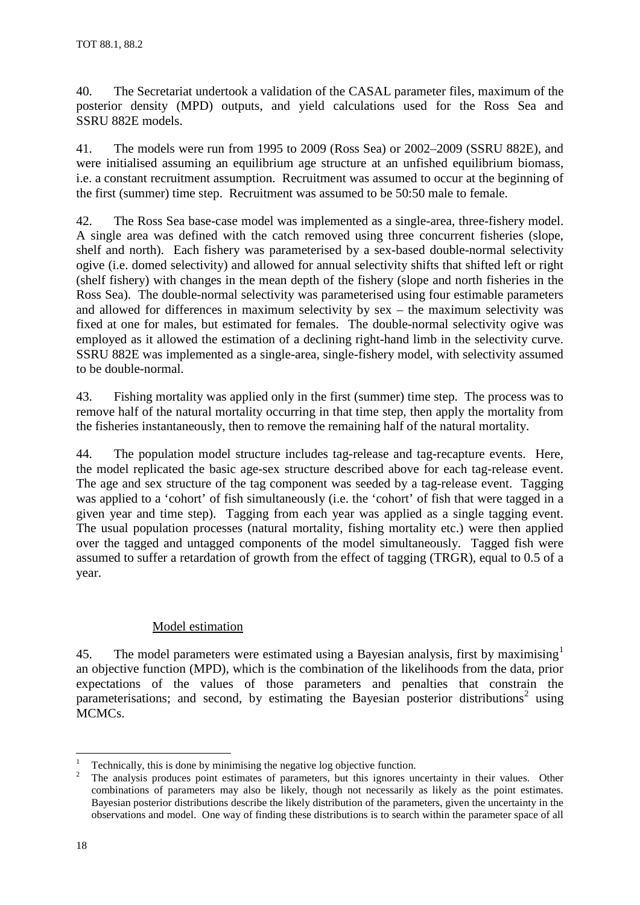40. The Secretariat undertook a validation of the CASAL parameter files, maximum of the posterior density (MPD) outputs, and yield calculations used for the Ross Sea and SSRU 882E models.

41. The models were run from 1995 to 2009 (Ross Sea) or 2002–2009 (SSRU 882E), and were initialised assuming an equilibrium age structure at an unfished equilibrium biomass, i.e. a constant recruitment assumption. Recruitment was assumed to occur at the beginning of the first (summer) time step. Recruitment was assumed to be 50:50 male to female.

42. The Ross Sea base-case model was implemented as a single-area, three-fishery model. A single area was defined with the catch removed using three concurrent fisheries (slope, shelf and north). Each fishery was parameterised by a sex-based double-normal selectivity ogive (i.e. domed selectivity) and allowed for annual selectivity shifts that shifted left or right (shelf fishery) with changes in the mean depth of the fishery (slope and north fisheries in the Ross Sea). The double-normal selectivity was parameterised using four estimable parameters and allowed for differences in maximum selectivity by sex – the maximum selectivity was fixed at one for males, but estimated for females. The double-normal selectivity ogive was employed as it allowed the estimation of a declining right-hand limb in the selectivity curve. SSRU 882E was implemented as a single-area, single-fishery model, with selectivity assumed to be double-normal.

43. Fishing mortality was applied only in the first (summer) time step. The process was to remove half of the natural mortality occurring in that time step, then apply the mortality from the fisheries instantaneously, then to remove the remaining half of the natural mortality.

44. The population model structure includes tag-release and tag-recapture events. Here, the model replicated the basic age-sex structure described above for each tag-release event. The age and sex structure of the tag component was seeded by a tag-release event. Tagging was applied to a 'cohort' of fish simultaneously (i.e. the 'cohort' of fish that were tagged in a given year and time step). Tagging from each year was applied as a single tagging event. The usual population processes (natural mortality, fishing mortality etc.) were then applied over the tagged and untagged components of the model simultaneously. Tagged fish were assumed to suffer a retardation of growth from the effect of tagging (TRGR), equal to 0.5 of a year.

# Model estimation

45. The model parameters were estimated using a Bayesian analysis, first by maximising<sup>[1](#page-21-0)</sup> an objective function (MPD), which is the combination of the likelihoods from the data, prior expectations of the values of those parameters and penalties that constrain the parameterisations; and second, by estimating the Bayesian posterior distributions<sup>[2](#page-21-1)</sup> using MCMCs.

<span id="page-21-1"></span><span id="page-21-0"></span>Technically, this is done by minimising the negative log objective function.<br>The analysis produces point estimates of parameters, but this ignores uncertainty in their values. Other combinations of parameters may also be likely, though not necessarily as likely as the point estimates. Bayesian posterior distributions describe the likely distribution of the parameters, given the uncertainty in the observations and model. One way of finding these distributions is to search within the parameter space of all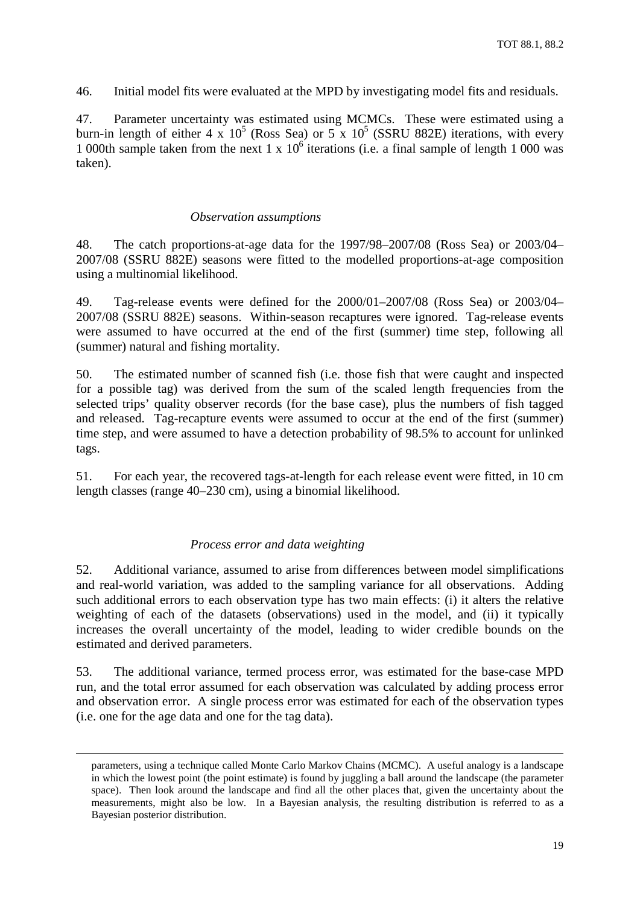46. Initial model fits were evaluated at the MPD by investigating model fits and residuals.

47. Parameter uncertainty was estimated using MCMCs. These were estimated using a burn-in length of either 4 x  $10^5$  (Ross Sea) or 5 x  $10^5$  (SSRU 882E) iterations, with every 1 000th sample taken from the next 1 x  $10<sup>6</sup>$  iterations (i.e. a final sample of length 1 000 was taken).

# *Observation assumptions*

48. The catch proportions-at-age data for the 1997/98–2007/08 (Ross Sea) or 2003/04– 2007/08 (SSRU 882E) seasons were fitted to the modelled proportions-at-age composition using a multinomial likelihood.

49. Tag-release events were defined for the 2000/01–2007/08 (Ross Sea) or 2003/04– 2007/08 (SSRU 882E) seasons. Within-season recaptures were ignored. Tag-release events were assumed to have occurred at the end of the first (summer) time step, following all (summer) natural and fishing mortality.

50. The estimated number of scanned fish (i.e. those fish that were caught and inspected for a possible tag) was derived from the sum of the scaled length frequencies from the selected trips' quality observer records (for the base case), plus the numbers of fish tagged and released. Tag-recapture events were assumed to occur at the end of the first (summer) time step, and were assumed to have a detection probability of 98.5% to account for unlinked tags.

51. For each year, the recovered tags-at-length for each release event were fitted, in 10 cm length classes (range 40–230 cm), using a binomial likelihood.

# *Process error and data weighting*

52. Additional variance, assumed to arise from differences between model simplifications and real-world variation, was added to the sampling variance for all observations. Adding such additional errors to each observation type has two main effects: (i) it alters the relative weighting of each of the datasets (observations) used in the model, and (ii) it typically increases the overall uncertainty of the model, leading to wider credible bounds on the estimated and derived parameters.

53. The additional variance, termed process error, was estimated for the base-case MPD run, and the total error assumed for each observation was calculated by adding process error and observation error. A single process error was estimated for each of the observation types (i.e. one for the age data and one for the tag data).

parameters, using a technique called Monte Carlo Markov Chains (MCMC). A useful analogy is a landscape in which the lowest point (the point estimate) is found by juggling a ball around the landscape (the parameter space). Then look around the landscape and find all the other places that, given the uncertainty about the measurements, might also be low. In a Bayesian analysis, the resulting distribution is referred to as a Bayesian posterior distribution.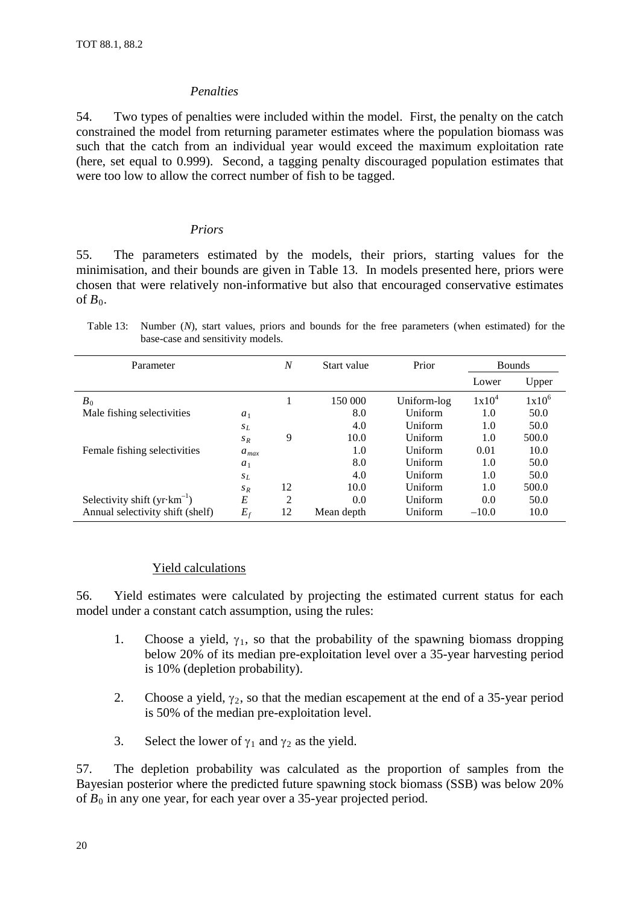### *Penalties*

54. Two types of penalties were included within the model. First, the penalty on the catch constrained the model from returning parameter estimates where the population biomass was such that the catch from an individual year would exceed the maximum exploitation rate (here, set equal to 0.999). Second, a tagging penalty discouraged population estimates that were too low to allow the correct number of fish to be tagged.

#### *Priors*

55. The parameters estimated by the models, their priors, starting values for the minimisation, and their bounds are given in Table 13. In models presented here, priors were chosen that were relatively non-informative but also that encouraged conservative estimates of  $B_0$ .

Table 13: Number (*N*), start values, priors and bounds for the free parameters (when estimated) for the base-case and sensitivity models.

| Parameter                             |           | N  | Start value | Prior       |          | <b>Bounds</b> |
|---------------------------------------|-----------|----|-------------|-------------|----------|---------------|
|                                       |           |    |             |             | Lower    | Upper         |
| $B_0$                                 |           |    | 150 000     | Uniform-log | $1x10^4$ | $1x10^6$      |
| Male fishing selectivities            | $a_1$     |    | 8.0         | Uniform     | 1.0      | 50.0          |
|                                       | $s_L$     |    | 4.0         | Uniform     | 1.0      | 50.0          |
|                                       | $S_R$     | 9  | 10.0        | Uniform     | 1.0      | 500.0         |
| Female fishing selectivities          | $a_{max}$ |    | 1.0         | Uniform     | 0.01     | 10.0          |
|                                       | $a_1$     |    | 8.0         | Uniform     | 1.0      | 50.0          |
|                                       | $s_L$     |    | 4.0         | Uniform     | 1.0      | 50.0          |
|                                       | $S_R$     | 12 | 10.0        | Uniform     | 1.0      | 500.0         |
| Selectivity shift $(yr\cdot km^{-1})$ | E         | 2  | 0.0         | Uniform     | 0.0      | 50.0          |
| Annual selectivity shift (shelf)      | $E_f$     | 12 | Mean depth  | Uniform     | $-10.0$  | 10.0          |

# Yield calculations

56. Yield estimates were calculated by projecting the estimated current status for each model under a constant catch assumption, using the rules:

- 1. Choose a yield,  $\gamma_1$ , so that the probability of the spawning biomass dropping below 20% of its median pre-exploitation level over a 35-year harvesting period is 10% (depletion probability).
- 2. Choose a yield,  $\gamma_2$ , so that the median escapement at the end of a 35-year period is 50% of the median pre-exploitation level.
- 3. Select the lower of  $\gamma_1$  and  $\gamma_2$  as the yield.

57. The depletion probability was calculated as the proportion of samples from the Bayesian posterior where the predicted future spawning stock biomass (SSB) was below 20% of  $B_0$  in any one year, for each year over a 35-year projected period.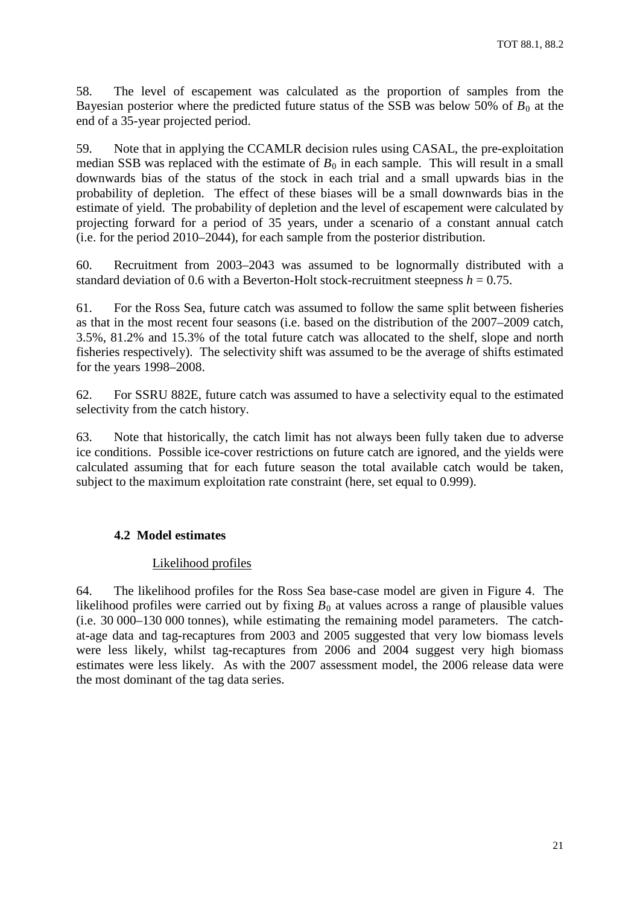58. The level of escapement was calculated as the proportion of samples from the Bayesian posterior where the predicted future status of the SSB was below 50% of  $B_0$  at the end of a 35-year projected period.

59. Note that in applying the CCAMLR decision rules using CASAL, the pre-exploitation median SSB was replaced with the estimate of  $B_0$  in each sample. This will result in a small downwards bias of the status of the stock in each trial and a small upwards bias in the probability of depletion. The effect of these biases will be a small downwards bias in the estimate of yield. The probability of depletion and the level of escapement were calculated by projecting forward for a period of 35 years, under a scenario of a constant annual catch (i.e. for the period 2010–2044), for each sample from the posterior distribution.

60. Recruitment from 2003–2043 was assumed to be lognormally distributed with a standard deviation of 0.6 with a Beverton-Holt stock-recruitment steepness  $h = 0.75$ .

61. For the Ross Sea, future catch was assumed to follow the same split between fisheries as that in the most recent four seasons (i.e. based on the distribution of the 2007–2009 catch, 3.5%, 81.2% and 15.3% of the total future catch was allocated to the shelf, slope and north fisheries respectively). The selectivity shift was assumed to be the average of shifts estimated for the years 1998–2008.

62. For SSRU 882E, future catch was assumed to have a selectivity equal to the estimated selectivity from the catch history.

63. Note that historically, the catch limit has not always been fully taken due to adverse ice conditions. Possible ice-cover restrictions on future catch are ignored, and the yields were calculated assuming that for each future season the total available catch would be taken, subject to the maximum exploitation rate constraint (here, set equal to 0.999).

# **4.2 Model estimates**

# Likelihood profiles

64. The likelihood profiles for the Ross Sea base-case model are given in Figure 4. The likelihood profiles were carried out by fixing  $B_0$  at values across a range of plausible values (i.e. 30 000–130 000 tonnes), while estimating the remaining model parameters. The catchat-age data and tag-recaptures from 2003 and 2005 suggested that very low biomass levels were less likely, whilst tag-recaptures from 2006 and 2004 suggest very high biomass estimates were less likely. As with the 2007 assessment model, the 2006 release data were the most dominant of the tag data series.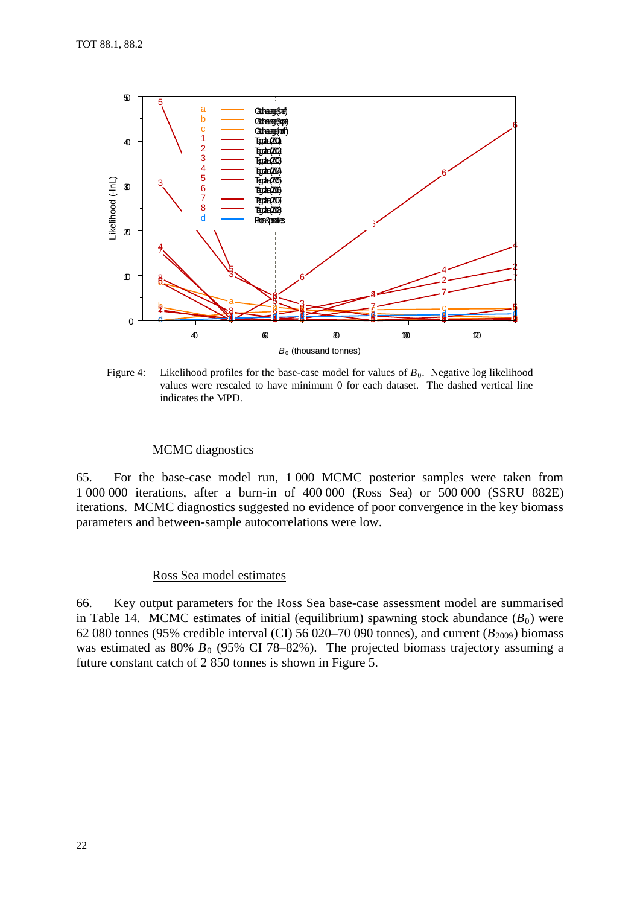

Figure 4: Likelihood profiles for the base-case model for values of  $B_0$ . Negative log likelihood values were rescaled to have minimum 0 for each dataset. The dashed vertical line indicates the MPD.

#### **MCMC** diagnostics

65. For the base-case model run, 1 000 MCMC posterior samples were taken from 000 000 iterations, after a burn-in of 400 000 (Ross Sea) or 500 000 (SSRU 882E) iterations. MCMC diagnostics suggested no evidence of poor convergence in the key biomass parameters and between-sample autocorrelations were low.

#### Ross Sea model estimates

66. Key output parameters for the Ross Sea base-case assessment model are summarised in Table 14. MCMC estimates of initial (equilibrium) spawning stock abundance  $(B_0)$  were 62 080 tonnes (95% credible interval (CI) 56 020–70 090 tonnes), and current ( $B_{2009}$ ) biomass was estimated as 80%  $B_0$  (95% CI 78–82%). The projected biomass trajectory assuming a future constant catch of 2 850 tonnes is shown in Figure 5.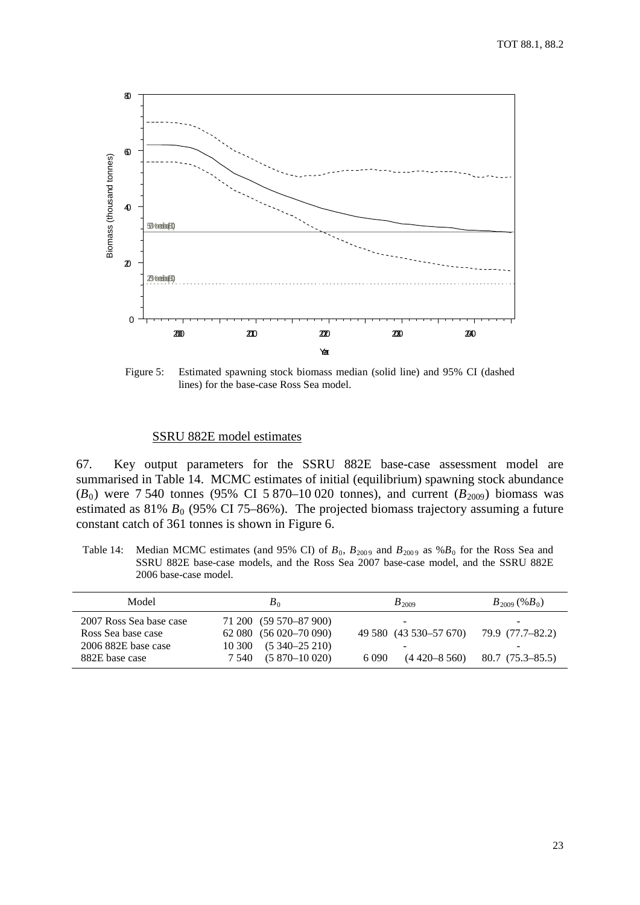

Figure 5: Estimated spawning stock biomass median (solid line) and 95% CI (dashed lines) for the base-case Ross Sea model.

#### SSRU 882E model estimates

67. Key output parameters for the SSRU 882E base-case assessment model are summarised in Table 14. MCMC estimates of initial (equilibrium) spawning stock abundance ( $B_0$ ) were 7 540 tonnes (95% CI 5 870–10 020 tonnes), and current ( $B_{2009}$ ) biomass was estimated as  $81\%$  *B*<sub>0</sub> (95% CI 75–86%). The projected biomass trajectory assuming a future constant catch of 361 tonnes is shown in Figure 6.

Table 14: Median MCMC estimates (and 95% CI) of  $B_0$ ,  $B_{2009}$  and  $B_{2009}$  as % $B_0$  for the Ross Sea and SSRU 882E base-case models, and the Ross Sea 2007 base-case model, and the SSRU 882E 2006 base-case model.

| Model                                                                                  | $B_0$                                                                                                            | $B_{2009}$                                                                                | $B_{2009}$ (% $B_0$ )                                                  |
|----------------------------------------------------------------------------------------|------------------------------------------------------------------------------------------------------------------|-------------------------------------------------------------------------------------------|------------------------------------------------------------------------|
| 2007 Ross Sea base case<br>Ross Sea base case<br>2006 882E base case<br>882E base case | 71 200 (59 570-87 900)<br>62 080 (56 020 - 70 090)<br>$10\,300$ $(5\,340 - 25\,210)$<br>$7,540$ $(5,870-10,020)$ | $\overline{\phantom{0}}$<br>49 580 (43 530-57 670)<br>-<br>$(4\,420 - 8\,560)$<br>6 0 9 0 | $\overline{\phantom{0}}$<br>79.9 (77.7–82.2)<br>-<br>$80.7(75.3-85.5)$ |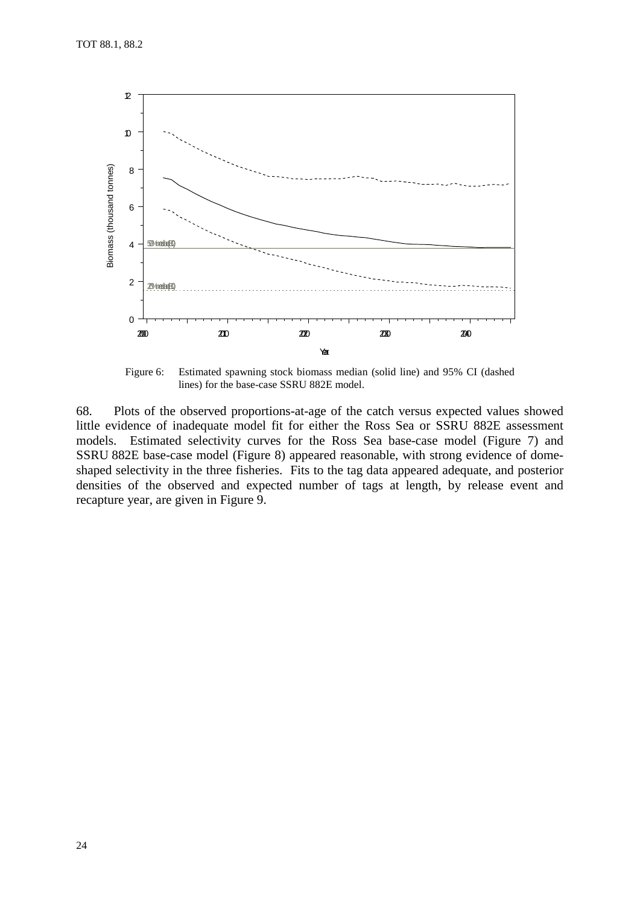

Figure 6: Estimated spawning stock biomass median (solid line) and 95% CI (dashed lines) for the base-case SSRU 882E model.

68. Plots of the observed proportions-at-age of the catch versus expected values showed little evidence of inadequate model fit for either the Ross Sea or SSRU 882E assessment models. Estimated selectivity curves for the Ross Sea base-case model (Figure 7) and SSRU 882E base-case model (Figure 8) appeared reasonable, with strong evidence of domeshaped selectivity in the three fisheries. Fits to the tag data appeared adequate, and posterior densities of the observed and expected number of tags at length, by release event and recapture year, are given in Figure 9.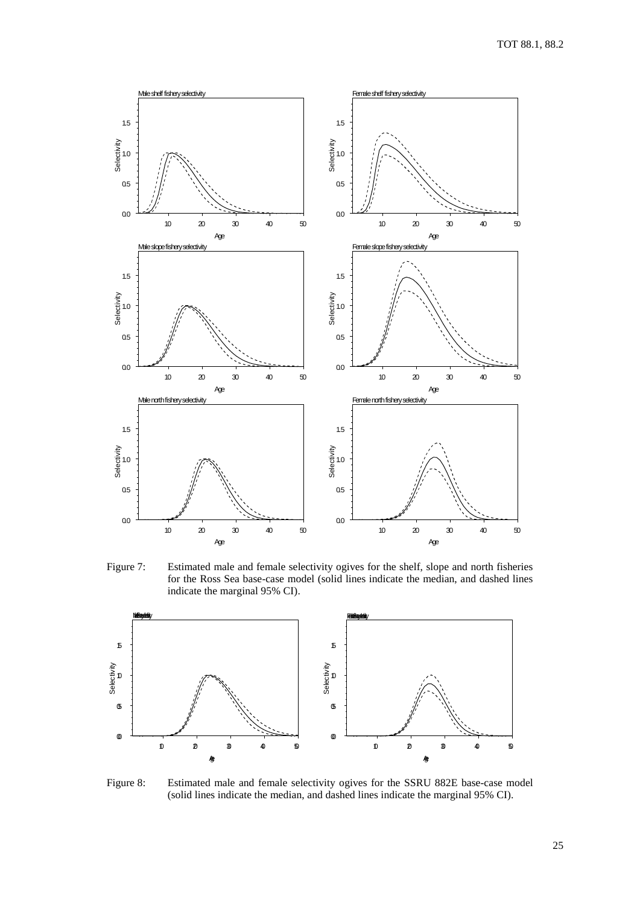

Figure 7: Estimated male and female selectivity ogives for the shelf, slope and north fisheries for the Ross Sea base-case model (solid lines indicate the median, and dashed lines indicate the marginal 95% CI).



Figure 8: Estimated male and female selectivity ogives for the SSRU 882E base-case model (solid lines indicate the median, and dashed lines indicate the marginal 95% CI).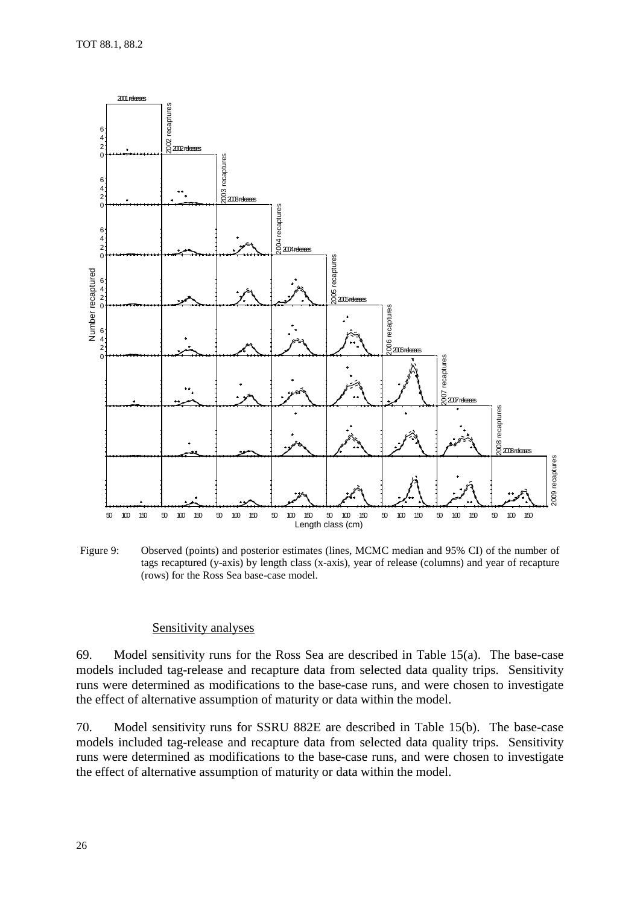

Figure 9: Observed (points) and posterior estimates (lines, MCMC median and 95% CI) of the number of tags recaptured (y-axis) by length class (x-axis), year of release (columns) and year of recapture (rows) for the Ross Sea base-case model.

#### Sensitivity analyses

69. Model sensitivity runs for the Ross Sea are described in Table 15(a). The base-case models included tag-release and recapture data from selected data quality trips. Sensitivity runs were determined as modifications to the base-case runs, and were chosen to investigate the effect of alternative assumption of maturity or data within the model.

70. Model sensitivity runs for SSRU 882E are described in Table 15(b). The base-case models included tag-release and recapture data from selected data quality trips. Sensitivity runs were determined as modifications to the base-case runs, and were chosen to investigate the effect of alternative assumption of maturity or data within the model.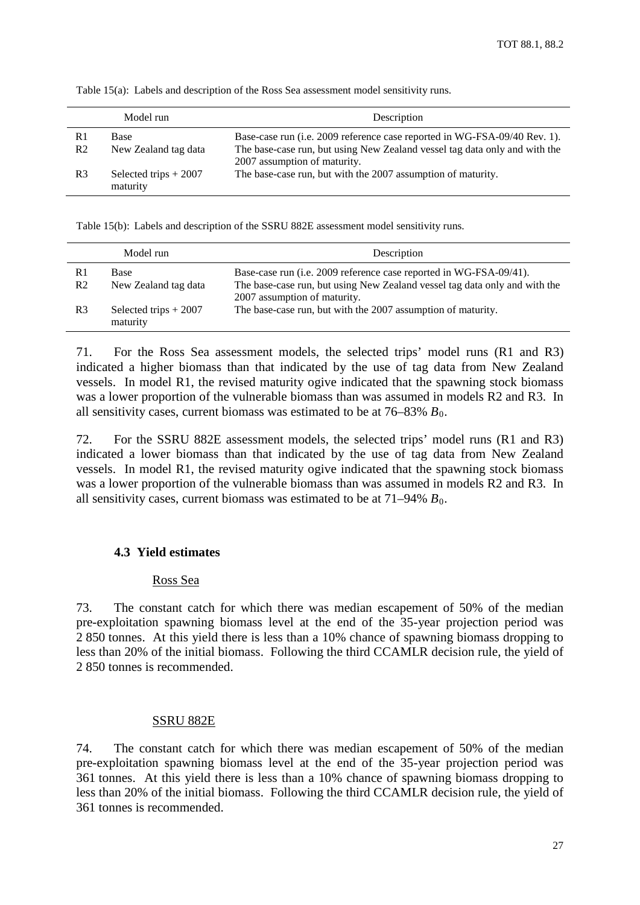|                | Model run                          | Description                                                                |
|----------------|------------------------------------|----------------------------------------------------------------------------|
| R1             | Base                               | Base-case run (i.e. 2009 reference case reported in WG-FSA-09/40 Rev. 1).  |
| R <sub>2</sub> | New Zealand tag data               | The base-case run, but using New Zealand vessel tag data only and with the |
|                |                                    | 2007 assumption of maturity.                                               |
| R <sub>3</sub> | Selected trips $+2007$<br>maturity | The base-case run, but with the 2007 assumption of maturity.               |

Table 15(a): Labels and description of the Ross Sea assessment model sensitivity runs.

Table 15(b): Labels and description of the SSRU 882E assessment model sensitivity runs.

|                      | Model run                          | Description                                                                                                                                                                      |
|----------------------|------------------------------------|----------------------------------------------------------------------------------------------------------------------------------------------------------------------------------|
| R1<br>R <sub>2</sub> | Base<br>New Zealand tag data       | Base-case run (i.e. 2009 reference case reported in WG-FSA-09/41).<br>The base-case run, but using New Zealand vessel tag data only and with the<br>2007 assumption of maturity. |
| R <sub>3</sub>       | Selected trips $+2007$<br>maturity | The base-case run, but with the 2007 assumption of maturity.                                                                                                                     |

71. For the Ross Sea assessment models, the selected trips' model runs (R1 and R3) indicated a higher biomass than that indicated by the use of tag data from New Zealand vessels. In model R1, the revised maturity ogive indicated that the spawning stock biomass was a lower proportion of the vulnerable biomass than was assumed in models R2 and R3. In all sensitivity cases, current biomass was estimated to be at  $76-83\% B_0$ .

72. For the SSRU 882E assessment models, the selected trips' model runs (R1 and R3) indicated a lower biomass than that indicated by the use of tag data from New Zealand vessels. In model R1, the revised maturity ogive indicated that the spawning stock biomass was a lower proportion of the vulnerable biomass than was assumed in models R2 and R3. In all sensitivity cases, current biomass was estimated to be at  $71-94\% B_0$ .

# **4.3 Yield estimates**

# Ross Sea

73. The constant catch for which there was median escapement of 50% of the median pre-exploitation spawning biomass level at the end of the 35-year projection period was 2 850 tonnes. At this yield there is less than a 10% chance of spawning biomass dropping to less than 20% of the initial biomass. Following the third CCAMLR decision rule, the yield of 2 850 tonnes is recommended.

# SSRU 882E

74. The constant catch for which there was median escapement of 50% of the median pre-exploitation spawning biomass level at the end of the 35-year projection period was 361 tonnes. At this yield there is less than a 10% chance of spawning biomass dropping to less than 20% of the initial biomass. Following the third CCAMLR decision rule, the yield of 361 tonnes is recommended.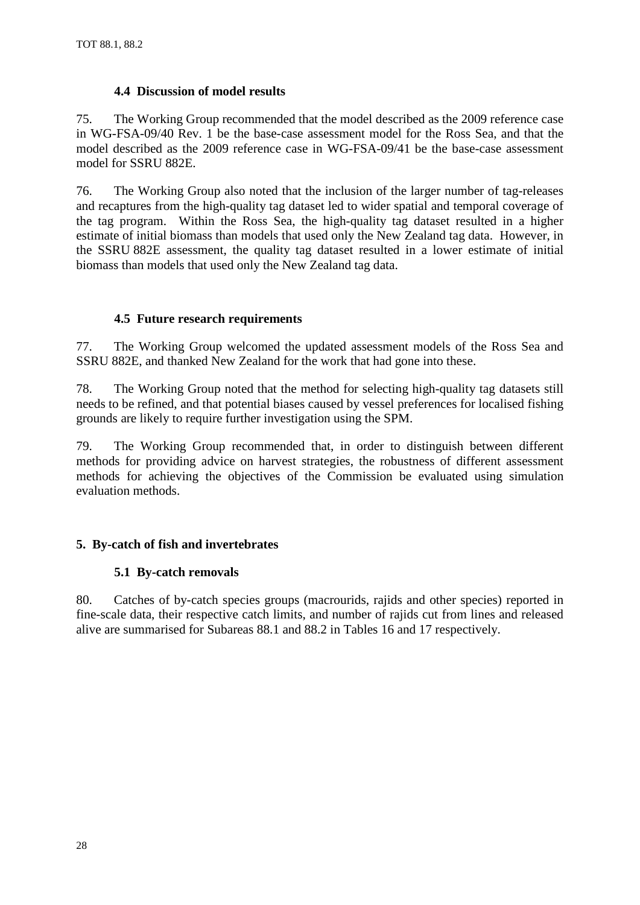# **4.4 Discussion of model results**

75. The Working Group recommended that the model described as the 2009 reference case in WG-FSA-09/40 Rev. 1 be the base-case assessment model for the Ross Sea, and that the model described as the 2009 reference case in WG-FSA-09/41 be the base-case assessment model for SSRU 882E.

76. The Working Group also noted that the inclusion of the larger number of tag-releases and recaptures from the high-quality tag dataset led to wider spatial and temporal coverage of the tag program. Within the Ross Sea, the high-quality tag dataset resulted in a higher estimate of initial biomass than models that used only the New Zealand tag data. However, in the SSRU 882E assessment, the quality tag dataset resulted in a lower estimate of initial biomass than models that used only the New Zealand tag data.

# **4.5 Future research requirements**

77. The Working Group welcomed the updated assessment models of the Ross Sea and SSRU 882E, and thanked New Zealand for the work that had gone into these.

78. The Working Group noted that the method for selecting high-quality tag datasets still needs to be refined, and that potential biases caused by vessel preferences for localised fishing grounds are likely to require further investigation using the SPM.

79. The Working Group recommended that, in order to distinguish between different methods for providing advice on harvest strategies, the robustness of different assessment methods for achieving the objectives of the Commission be evaluated using simulation evaluation methods.

# **5. By-catch of fish and invertebrates**

# **5.1 By-catch removals**

80. Catches of by-catch species groups (macrourids, rajids and other species) reported in fine-scale data, their respective catch limits, and number of rajids cut from lines and released alive are summarised for Subareas 88.1 and 88.2 in Tables 16 and 17 respectively.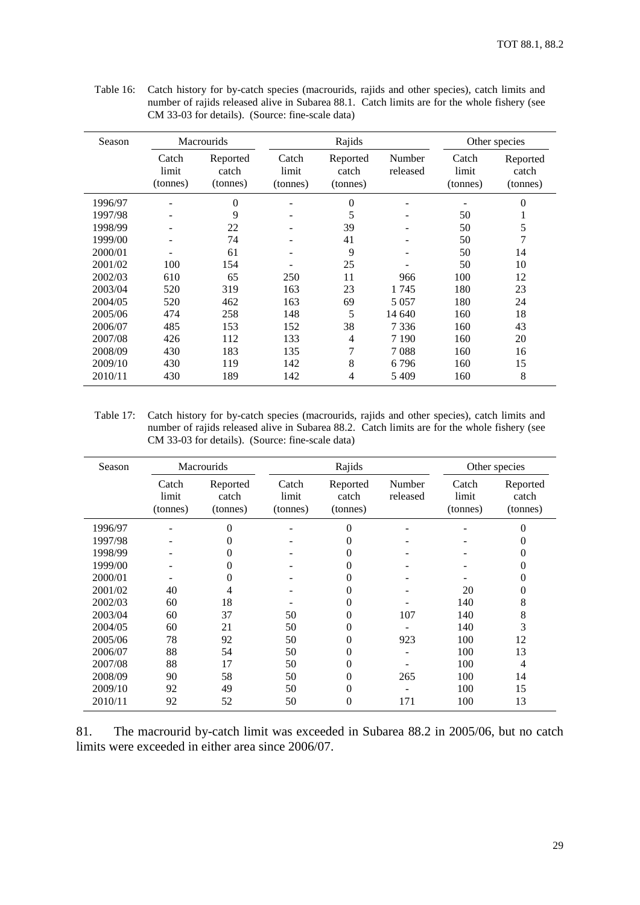| Season  |                            | <b>Macrourids</b>             |                            | Rajids                        |                    |                            | Other species                 |  |  |
|---------|----------------------------|-------------------------------|----------------------------|-------------------------------|--------------------|----------------------------|-------------------------------|--|--|
|         | Catch<br>limit<br>(tonnes) | Reported<br>catch<br>(tonnes) | Catch<br>limit<br>(tonnes) | Reported<br>catch<br>(tonnes) | Number<br>released | Catch<br>limit<br>(tonnes) | Reported<br>catch<br>(tonnes) |  |  |
| 1996/97 |                            | $\Omega$                      |                            | $\theta$                      |                    |                            | $\Omega$                      |  |  |
| 1997/98 | $\qquad \qquad$            | 9                             | -                          | 5                             |                    | 50                         |                               |  |  |
| 1998/99 |                            | 22                            |                            | 39                            |                    | 50                         | 5                             |  |  |
| 1999/00 |                            | 74                            |                            | 41                            |                    | 50                         | 7                             |  |  |
| 2000/01 |                            | 61                            |                            | 9                             |                    | 50                         | 14                            |  |  |
| 2001/02 | 100                        | 154                           |                            | 25                            |                    | 50                         | 10                            |  |  |
| 2002/03 | 610                        | 65                            | 250                        | 11                            | 966                | 100                        | 12                            |  |  |
| 2003/04 | 520                        | 319                           | 163                        | 23                            | 1745               | 180                        | 23                            |  |  |
| 2004/05 | 520                        | 462                           | 163                        | 69                            | 5 0 5 7            | 180                        | 24                            |  |  |
| 2005/06 | 474                        | 258                           | 148                        | 5                             | 14 640             | 160                        | 18                            |  |  |
| 2006/07 | 485                        | 153                           | 152                        | 38                            | 7 3 3 6            | 160                        | 43                            |  |  |
| 2007/08 | 426                        | 112                           | 133                        | 4                             | 7 1 9 0            | 160                        | 20                            |  |  |
| 2008/09 | 430                        | 183                           | 135                        | 7                             | 7088               | 160                        | 16                            |  |  |
| 2009/10 | 430                        | 119                           | 142                        | 8                             | 6796               | 160                        | 15                            |  |  |
| 2010/11 | 430                        | 189                           | 142                        | 4                             | 5409               | 160                        | 8                             |  |  |

<span id="page-32-0"></span>Table 16: Catch history for by-catch species (macrourids, rajids and other species), catch limits and number of rajids released alive in Subarea 88.1. Catch limits are for the whole fishery (see CM 33-03 for details). (Source: fine-scale data)

Table 17: Catch history for by-catch species (macrourids, rajids and other species), catch limits and number of rajids released alive in Subarea 88.2. Catch limits are for the whole fishery (see CM 33-03 for details). (Source: fine-scale data)

| Season  |                            | <b>Macrourids</b>             |                            | Rajids                        |                    | Other species              |                               |
|---------|----------------------------|-------------------------------|----------------------------|-------------------------------|--------------------|----------------------------|-------------------------------|
|         | Catch<br>limit<br>(tonnes) | Reported<br>catch<br>(tonnes) | Catch<br>limit<br>(tonnes) | Reported<br>catch<br>(tonnes) | Number<br>released | Catch<br>limit<br>(tonnes) | Reported<br>catch<br>(tonnes) |
| 1996/97 |                            | $\theta$                      |                            | 0                             |                    |                            | 0                             |
| 1997/98 |                            | 0                             |                            | 0                             |                    |                            |                               |
| 1998/99 |                            | 0                             |                            | 0                             |                    |                            | 0                             |
| 1999/00 |                            | 0                             |                            | 0                             |                    |                            | 0                             |
| 2000/01 |                            | 0                             |                            | 0                             |                    |                            | 0                             |
| 2001/02 | 40                         | 4                             |                            | 0                             |                    | 20                         | 0                             |
| 2002/03 | 60                         | 18                            |                            | 0                             |                    | 140                        | 8                             |
| 2003/04 | 60                         | 37                            | 50                         | 0                             | 107                | 140                        | 8                             |
| 2004/05 | 60                         | 21                            | 50                         | 0                             |                    | 140                        | 3                             |
| 2005/06 | 78                         | 92                            | 50                         | 0                             | 923                | 100                        | 12                            |
| 2006/07 | 88                         | 54                            | 50                         | 0                             |                    | 100                        | 13                            |
| 2007/08 | 88                         | 17                            | 50                         | 0                             |                    | 100                        | 4                             |
| 2008/09 | 90                         | 58                            | 50                         | 0                             | 265                | 100                        | 14                            |
| 2009/10 | 92                         | 49                            | 50                         | 0                             |                    | 100                        | 15                            |
| 2010/11 | 92                         | 52                            | 50                         | 0                             | 171                | 100                        | 13                            |

81. The macrourid by-catch limit was exceeded in Subarea 88.2 in 2005/06, but no catch limits were exceeded in either area since 2006/07.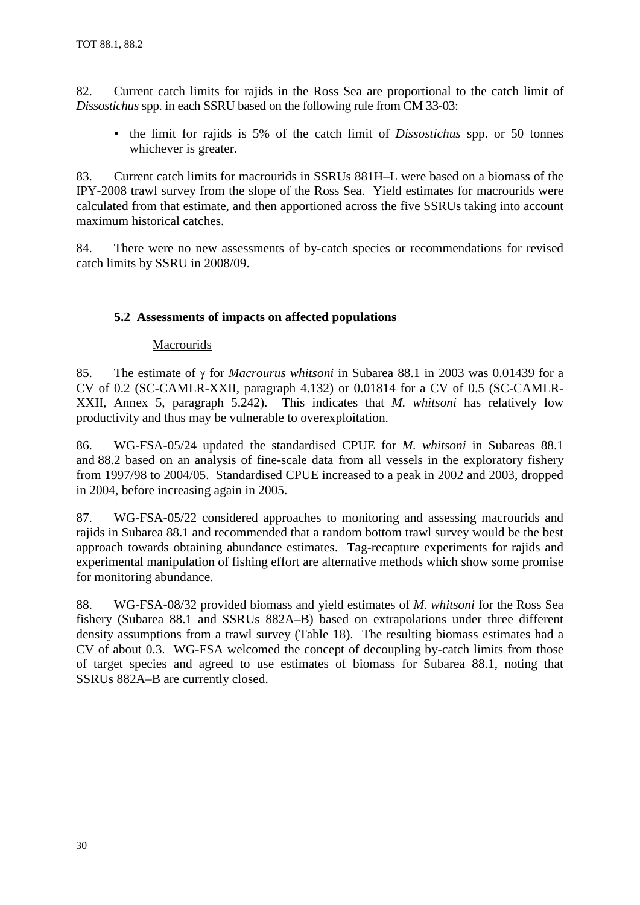82. Current catch limits for rajids in the Ross Sea are proportional to the catch limit of *Dissostichus* spp. in each SSRU based on the following rule from CM 33-03:

• the limit for rajids is 5% of the catch limit of *Dissostichus* spp. or 50 tonnes whichever is greater.

83. Current catch limits for macrourids in SSRUs 881H–L were based on a biomass of the IPY-2008 trawl survey from the slope of the Ross Sea. Yield estimates for macrourids were calculated from that estimate, and then apportioned across the five SSRUs taking into account maximum historical catches.

84. There were no new assessments of by-catch species or recommendations for revised catch limits by SSRU in 2008/09.

# **5.2 Assessments of impacts on affected populations**

# Macrourids

85. The estimate of γ for *Macrourus whitsoni* in Subarea 88.1 in 2003 was 0.01439 for a CV of 0.2 (SC-CAMLR-XXII, paragraph 4.132) or 0.01814 for a CV of 0.5 (SC-CAMLR-XXII, Annex 5, paragraph 5.242). This indicates that *M. whitsoni* has relatively low productivity and thus may be vulnerable to overexploitation.

86. WG-FSA-05/24 updated the standardised CPUE for *M. whitsoni* in Subareas 88.1 and 88.2 based on an analysis of fine-scale data from all vessels in the exploratory fishery from 1997/98 to 2004/05. Standardised CPUE increased to a peak in 2002 and 2003, dropped in 2004, before increasing again in 2005.

87. WG-FSA-05/22 considered approaches to monitoring and assessing macrourids and rajids in Subarea 88.1 and recommended that a random bottom trawl survey would be the best approach towards obtaining abundance estimates. Tag-recapture experiments for rajids and experimental manipulation of fishing effort are alternative methods which show some promise for monitoring abundance.

88. WG-FSA-08/32 provided biomass and yield estimates of *M. whitsoni* for the Ross Sea fishery (Subarea 88.1 and SSRUs 882A–B) based on extrapolations under three different density assumptions from a trawl survey (Table 18). The resulting biomass estimates had a CV of about 0.3. WG-FSA welcomed the concept of decoupling by-catch limits from those of target species and agreed to use estimates of biomass for Subarea 88.1, noting that SSRUs 882A–B are currently closed.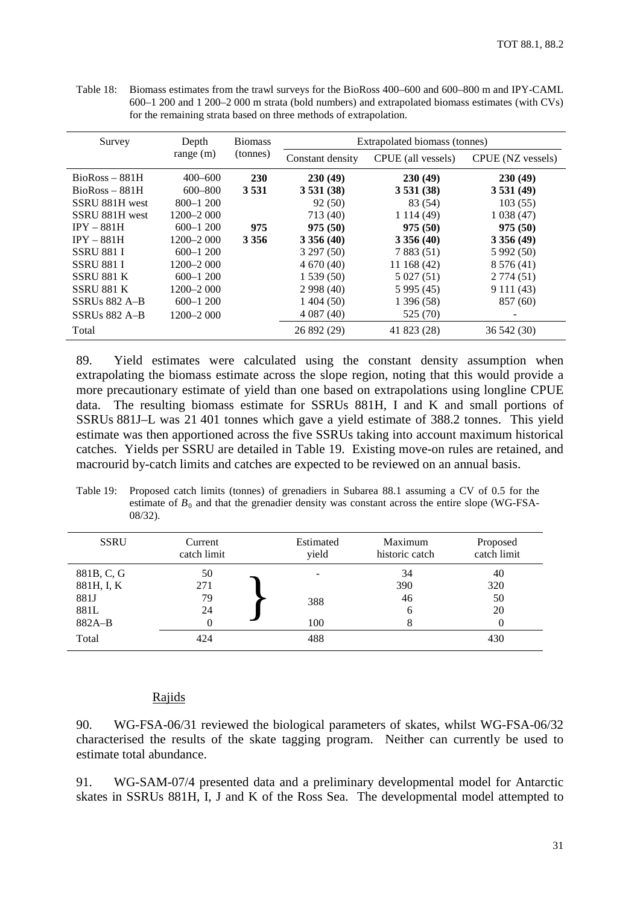Table 18: Biomass estimates from the trawl surveys for the BioRoss 400–600 and 600–800 m and IPY-CAML 600–1 200 and 1 200–2 000 m strata (bold numbers) and extrapolated biomass estimates (with CVs) for the remaining strata based on three methods of extrapolation.

| Survey            | Depth         | <b>Biomass</b> | Extrapolated biomass (tonnes) |                    |                   |
|-------------------|---------------|----------------|-------------------------------|--------------------|-------------------|
| range $(m)$       |               | (tonnes)       | Constant density              | CPUE (all vessels) | CPUE (NZ vessels) |
| $BioRoss - 881H$  | $400 - 600$   | 230            | 230(49)                       | 230(49)            | 230(49)           |
| $BioRoss - 881H$  | $600 - 800$   | 3 5 3 1        | 3531(38)                      | 3531(38)           | 3531(49)          |
| SSRU 881H west    | $800 - 1200$  |                | 92(50)                        | 83 (54)            | 103(55)           |
| SSRU 881H west    | $1200 - 2000$ |                | 713 (40)                      | 1 1 1 4 (49)       | 1038(47)          |
| $IPY - 881H$      | $600 - 1200$  | 975            | 975(50)                       | 975(50)            | 975(50)           |
| $IPY - 881H$      | $1200 - 2000$ | 3 3 5 6        | 3356(40)                      | 3356(40)           | 3356(49)          |
| <b>SSRU 881 I</b> | $600 - 1200$  |                | 3 297 (50)                    | 7 8 8 3 (51)       | 5 992 (50)        |
| <b>SSRU 881 I</b> | 1200–2 000    |                | 4670(40)                      | 11 168 (42)        | 8 576 (41)        |
| <b>SSRU 881 K</b> | $600 - 1200$  |                | 1539(50)                      | 5 027 (51)         | 2774(51)          |
| SSRU 881 K        | $1200 - 2000$ |                | 2998(40)                      | 5 995 (45)         | 9 111 (43)        |
| $SSRUs 882 A-B$   | $600 - 1200$  |                | 1404(50)                      | 1 396 (58)         | 857 (60)          |
| $SSRUs 882 A-B$   | $1200 - 2000$ |                | 4 0 87 (40)                   | 525 (70)           |                   |
| Total             |               |                | 26 892 (29)                   | 41 823 (28)        | 36 542 (30)       |

89. Yield estimates were calculated using the constant density assumption when extrapolating the biomass estimate across the slope region, noting that this would provide a more precautionary estimate of yield than one based on extrapolations using longline CPUE data. The resulting biomass estimate for SSRUs 881H, I and K and small portions of SSRUs 881J–L was 21 401 tonnes which gave a yield estimate of 388.2 tonnes. This yield estimate was then apportioned across the five SSRUs taking into account maximum historical catches. Yields per SSRU are detailed in Table 19. Existing move-on rules are retained, and macrourid by-catch limits and catches are expected to be reviewed on an annual basis.

Table 19: Proposed catch limits (tonnes) of grenadiers in Subarea 88.1 assuming a CV of 0.5 for the estimate of  $B_0$  and that the grenadier density was constant across the entire slope (WG-FSA-08/32).

| <b>SSRU</b> | Current<br>catch limit | Estimated<br>yield | Maximum<br>historic catch | Proposed<br>catch limit |
|-------------|------------------------|--------------------|---------------------------|-------------------------|
| 881B, C, G  | 50                     |                    | 34                        | 40                      |
| 881H, I, K  | 271                    |                    | 390                       | 320                     |
| 881J        | 79                     | 388                | 46                        | 50                      |
| 881L        | 24                     |                    | 6                         | 20                      |
| $882A-B$    | 0                      | 100                | 8                         |                         |
| Total       | 424                    | 488                |                           | 430                     |

#### Rajids

90. WG-FSA-06/31 reviewed the biological parameters of skates, whilst WG-FSA-06/32 characterised the results of the skate tagging program. Neither can currently be used to estimate total abundance.

91. WG-SAM-07/4 presented data and a preliminary developmental model for Antarctic skates in SSRUs 881H, I, J and K of the Ross Sea. The developmental model attempted to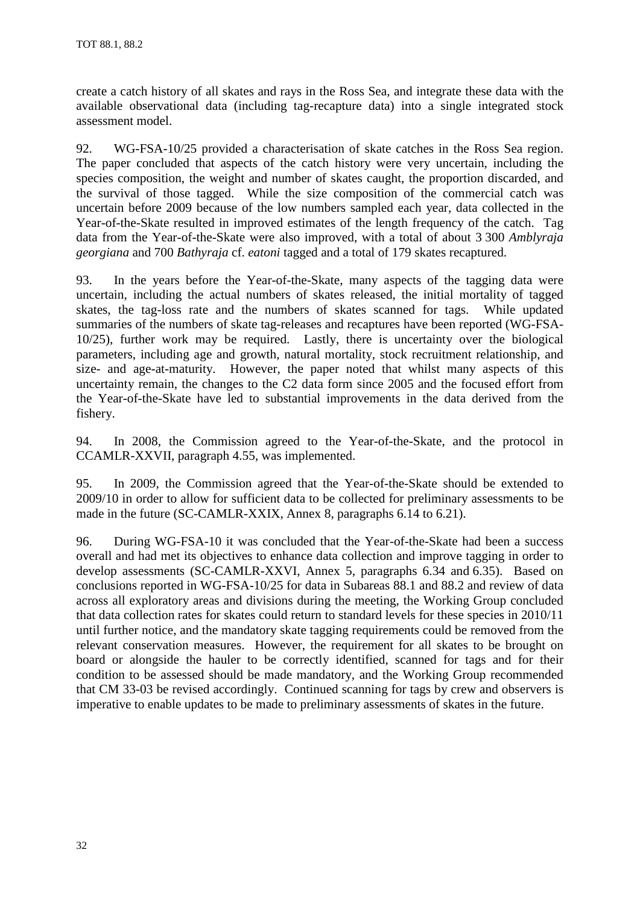create a catch history of all skates and rays in the Ross Sea, and integrate these data with the available observational data (including tag-recapture data) into a single integrated stock assessment model.

92. WG-FSA-10/25 provided a characterisation of skate catches in the Ross Sea region. The paper concluded that aspects of the catch history were very uncertain, including the species composition, the weight and number of skates caught, the proportion discarded, and the survival of those tagged. While the size composition of the commercial catch was uncertain before 2009 because of the low numbers sampled each year, data collected in the Year-of-the-Skate resulted in improved estimates of the length frequency of the catch. Tag data from the Year-of-the-Skate were also improved, with a total of about 3 300 *Amblyraja georgiana* and 700 *Bathyraja* cf. *eatoni* tagged and a total of 179 skates recaptured.

93. In the years before the Year-of-the-Skate, many aspects of the tagging data were uncertain, including the actual numbers of skates released, the initial mortality of tagged skates, the tag-loss rate and the numbers of skates scanned for tags. While updated summaries of the numbers of skate tag-releases and recaptures have been reported (WG-FSA-10/25), further work may be required. Lastly, there is uncertainty over the biological parameters, including age and growth, natural mortality, stock recruitment relationship, and size- and age-at-maturity. However, the paper noted that whilst many aspects of this uncertainty remain, the changes to the C2 data form since 2005 and the focused effort from the Year-of-the-Skate have led to substantial improvements in the data derived from the fishery.

94. In 2008, the Commission agreed to the Year-of-the-Skate, and the protocol in CCAMLR-XXVII, paragraph 4.55, was implemented.

95. In 2009, the Commission agreed that the Year-of-the-Skate should be extended to 2009/10 in order to allow for sufficient data to be collected for preliminary assessments to be made in the future (SC-CAMLR-XXIX, Annex 8, paragraphs 6.14 to 6.21).

96. During WG-FSA-10 it was concluded that the Year-of-the-Skate had been a success overall and had met its objectives to enhance data collection and improve tagging in order to develop assessments (SC-CAMLR-XXVI, Annex 5, paragraphs 6.34 and 6.35). Based on conclusions reported in WG-FSA-10/25 for data in Subareas 88.1 and 88.2 and review of data across all exploratory areas and divisions during the meeting, the Working Group concluded that data collection rates for skates could return to standard levels for these species in 2010/11 until further notice, and the mandatory skate tagging requirements could be removed from the relevant conservation measures. However, the requirement for all skates to be brought on board or alongside the hauler to be correctly identified, scanned for tags and for their condition to be assessed should be made mandatory, and the Working Group recommended that CM 33-03 be revised accordingly. Continued scanning for tags by crew and observers is imperative to enable updates to be made to preliminary assessments of skates in the future.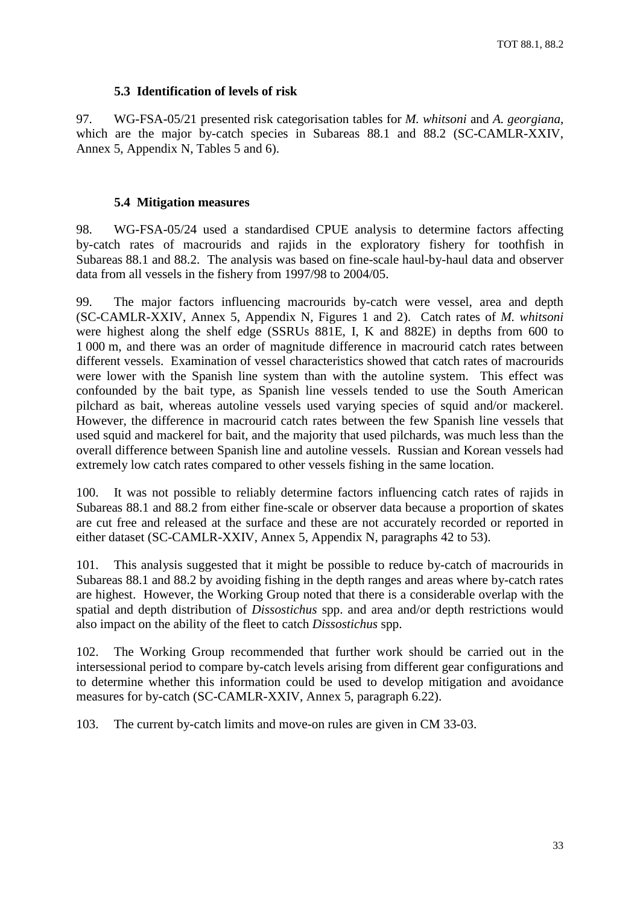# **5.3 Identification of levels of risk**

97. WG-FSA-05/21 presented risk categorisation tables for *M. whitsoni* and *A. georgiana*, which are the major by-catch species in Subareas 88.1 and 88.2 (SC-CAMLR-XXIV, Annex 5, Appendix N, Tables 5 and 6).

# **5.4 Mitigation measures**

98. WG-FSA-05/24 used a standardised CPUE analysis to determine factors affecting by-catch rates of macrourids and rajids in the exploratory fishery for toothfish in Subareas 88.1 and 88.2. The analysis was based on fine-scale haul-by-haul data and observer data from all vessels in the fishery from 1997/98 to 2004/05.

99. The major factors influencing macrourids by-catch were vessel, area and depth (SC-CAMLR-XXIV, Annex 5, Appendix N, Figures 1 and 2). Catch rates of *M. whitsoni* were highest along the shelf edge (SSRUs 881E, I, K and 882E) in depths from 600 to 1 000 m, and there was an order of magnitude difference in macrourid catch rates between different vessels. Examination of vessel characteristics showed that catch rates of macrourids were lower with the Spanish line system than with the autoline system. This effect was confounded by the bait type, as Spanish line vessels tended to use the South American pilchard as bait, whereas autoline vessels used varying species of squid and/or mackerel. However, the difference in macrourid catch rates between the few Spanish line vessels that used squid and mackerel for bait, and the majority that used pilchards, was much less than the overall difference between Spanish line and autoline vessels. Russian and Korean vessels had extremely low catch rates compared to other vessels fishing in the same location.

100. It was not possible to reliably determine factors influencing catch rates of rajids in Subareas 88.1 and 88.2 from either fine-scale or observer data because a proportion of skates are cut free and released at the surface and these are not accurately recorded or reported in either dataset (SC-CAMLR-XXIV, Annex 5, Appendix N, paragraphs 42 to 53).

101. This analysis suggested that it might be possible to reduce by-catch of macrourids in Subareas 88.1 and 88.2 by avoiding fishing in the depth ranges and areas where by-catch rates are highest. However, the Working Group noted that there is a considerable overlap with the spatial and depth distribution of *Dissostichus* spp. and area and/or depth restrictions would also impact on the ability of the fleet to catch *Dissostichus* spp.

102. The Working Group recommended that further work should be carried out in the intersessional period to compare by-catch levels arising from different gear configurations and to determine whether this information could be used to develop mitigation and avoidance measures for by-catch (SC-CAMLR-XXIV, Annex 5, paragraph 6.22).

103. The current by-catch limits and move-on rules are given in CM 33-03.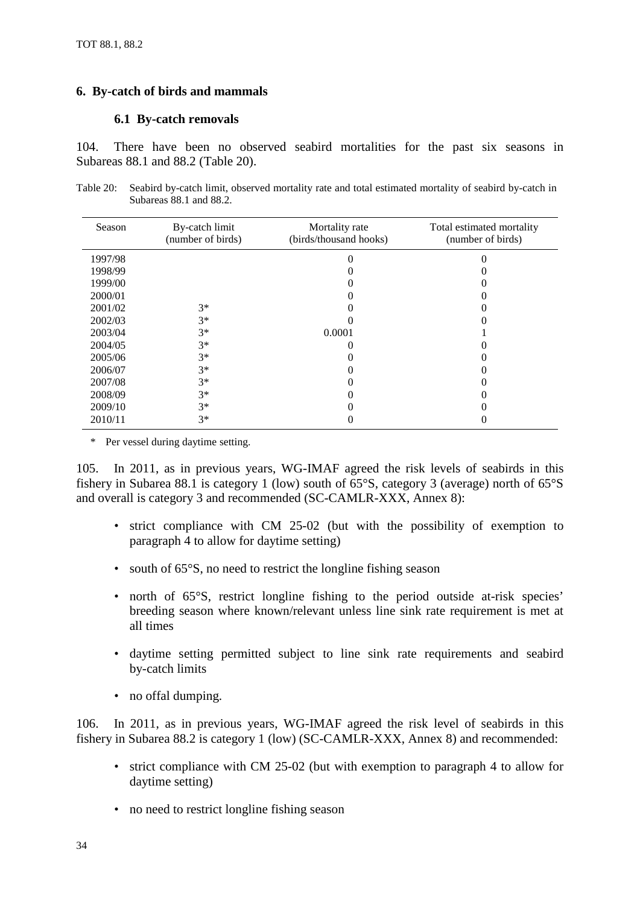# <span id="page-37-0"></span>**6. By-catch of birds and mammals**

# **6.1 By-catch removals**

104. There have been no observed seabird mortalities for the past six seasons in Subareas 88.1 and 88.2 (Table 20).

Table 20: Seabird by-catch limit, observed mortality rate and total estimated mortality of seabird by-catch in Subareas 88.1 and 88.2.

| Season  | By-catch limit<br>(number of birds) | Mortality rate<br>(birds/thousand hooks) | Total estimated mortality<br>(number of birds) |
|---------|-------------------------------------|------------------------------------------|------------------------------------------------|
| 1997/98 |                                     |                                          |                                                |
| 1998/99 |                                     |                                          |                                                |
| 1999/00 |                                     |                                          |                                                |
| 2000/01 |                                     |                                          |                                                |
| 2001/02 | $3*$                                |                                          |                                                |
| 2002/03 | $3*$                                |                                          |                                                |
| 2003/04 | $3*$                                | 0.0001                                   |                                                |
| 2004/05 | $3*$                                |                                          |                                                |
| 2005/06 | $3*$                                |                                          |                                                |
| 2006/07 | $3*$                                |                                          |                                                |
| 2007/08 | $3*$                                |                                          |                                                |
| 2008/09 | $3*$                                |                                          |                                                |
| 2009/10 | $3*$                                |                                          |                                                |
| 2010/11 | $3*$                                |                                          |                                                |

\* Per vessel during daytime setting.

105. In 2011, as in previous years, WG-IMAF agreed the risk levels of seabirds in this fishery in Subarea 88.1 is category 1 (low) south of 65°S, category 3 (average) north of 65°S and overall is category 3 and recommended (SC-CAMLR-XXX, Annex 8):

- strict compliance with CM 25-02 (but with the possibility of exemption to paragraph 4 to allow for daytime setting)
- south of 65°S, no need to restrict the longline fishing season
- north of 65°S, restrict longline fishing to the period outside at-risk species' breeding season where known/relevant unless line sink rate requirement is met at all times
- daytime setting permitted subject to line sink rate requirements and seabird by-catch limits
- no offal dumping.

106. In 2011, as in previous years, WG-IMAF agreed the risk level of seabirds in this fishery in Subarea 88.2 is category 1 (low) (SC-CAMLR-XXX, Annex 8) and recommended:

- strict compliance with CM 25-02 (but with exemption to paragraph 4 to allow for daytime setting)
- no need to restrict longline fishing season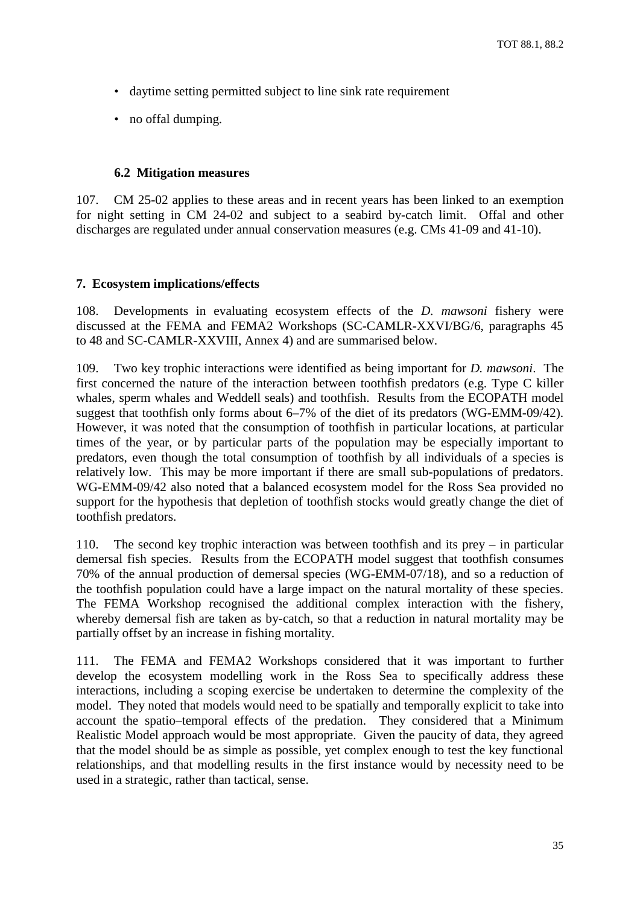- <span id="page-38-0"></span>• daytime setting permitted subject to line sink rate requirement
- no offal dumping.

# **6.2 Mitigation measures**

107. CM 25-02 applies to these areas and in recent years has been linked to an exemption for night setting in CM 24-02 and subject to a seabird by-catch limit. Offal and other discharges are regulated under annual conservation measures (e.g. CMs 41-09 and 41-10).

# **7. Ecosystem implications/effects**

108. Developments in evaluating ecosystem effects of the *D. mawsoni* fishery were discussed at the FEMA and FEMA2 Workshops (SC-CAMLR-XXVI/BG/6, paragraphs 45 to 48 and SC-CAMLR-XXVIII, Annex 4) and are summarised below.

109. Two key trophic interactions were identified as being important for *D. mawsoni*. The first concerned the nature of the interaction between toothfish predators (e.g. Type C killer whales, sperm whales and Weddell seals) and toothfish. Results from the ECOPATH model suggest that toothfish only forms about 6–7% of the diet of its predators (WG-EMM-09/42). However, it was noted that the consumption of toothfish in particular locations, at particular times of the year, or by particular parts of the population may be especially important to predators, even though the total consumption of toothfish by all individuals of a species is relatively low. This may be more important if there are small sub-populations of predators. WG-EMM-09/42 also noted that a balanced ecosystem model for the Ross Sea provided no support for the hypothesis that depletion of toothfish stocks would greatly change the diet of toothfish predators.

110. The second key trophic interaction was between toothfish and its prey – in particular demersal fish species. Results from the ECOPATH model suggest that toothfish consumes 70% of the annual production of demersal species (WG-EMM-07/18), and so a reduction of the toothfish population could have a large impact on the natural mortality of these species. The FEMA Workshop recognised the additional complex interaction with the fishery, whereby demersal fish are taken as by-catch, so that a reduction in natural mortality may be partially offset by an increase in fishing mortality.

111. The FEMA and FEMA2 Workshops considered that it was important to further develop the ecosystem modelling work in the Ross Sea to specifically address these interactions, including a scoping exercise be undertaken to determine the complexity of the model. They noted that models would need to be spatially and temporally explicit to take into account the spatio–temporal effects of the predation. They considered that a Minimum Realistic Model approach would be most appropriate. Given the paucity of data, they agreed that the model should be as simple as possible, yet complex enough to test the key functional relationships, and that modelling results in the first instance would by necessity need to be used in a strategic, rather than tactical, sense.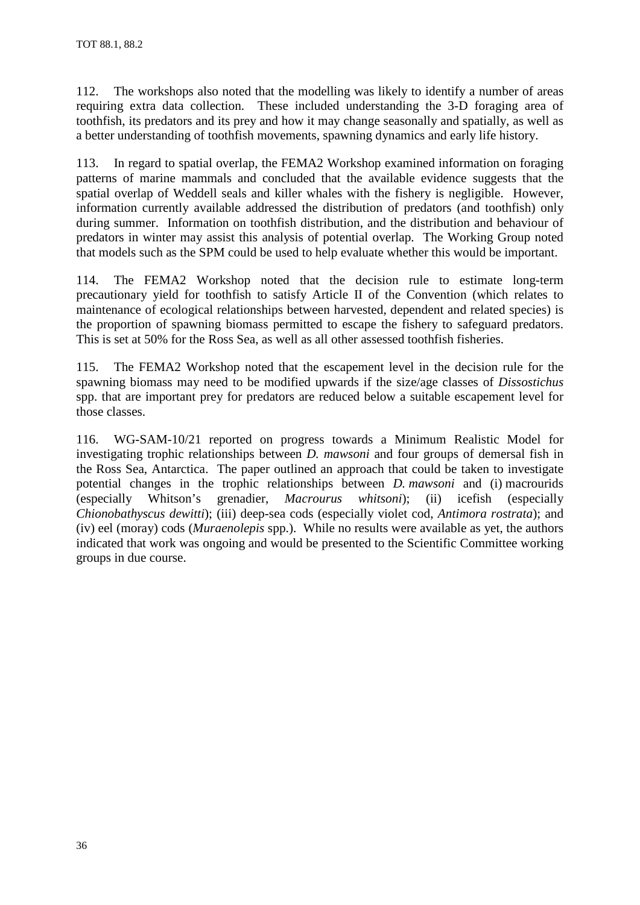112. The workshops also noted that the modelling was likely to identify a number of areas requiring extra data collection. These included understanding the 3-D foraging area of toothfish, its predators and its prey and how it may change seasonally and spatially, as well as a better understanding of toothfish movements, spawning dynamics and early life history.

113. In regard to spatial overlap, the FEMA2 Workshop examined information on foraging patterns of marine mammals and concluded that the available evidence suggests that the spatial overlap of Weddell seals and killer whales with the fishery is negligible. However, information currently available addressed the distribution of predators (and toothfish) only during summer. Information on toothfish distribution, and the distribution and behaviour of predators in winter may assist this analysis of potential overlap. The Working Group noted that models such as the SPM could be used to help evaluate whether this would be important.

114. The FEMA2 Workshop noted that the decision rule to estimate long-term precautionary yield for toothfish to satisfy Article II of the Convention (which relates to maintenance of ecological relationships between harvested, dependent and related species) is the proportion of spawning biomass permitted to escape the fishery to safeguard predators. This is set at 50% for the Ross Sea, as well as all other assessed toothfish fisheries.

115. The FEMA2 Workshop noted that the escapement level in the decision rule for the spawning biomass may need to be modified upwards if the size/age classes of *Dissostichus* spp. that are important prey for predators are reduced below a suitable escapement level for those classes.

116. WG-SAM-10/21 reported on progress towards a Minimum Realistic Model for investigating trophic relationships between *D. mawsoni* and four groups of demersal fish in the Ross Sea, Antarctica. The paper outlined an approach that could be taken to investigate potential changes in the trophic relationships between *D. mawsoni* and (i) macrourids (especially Whitson's grenadier, *Macrourus whitsoni*); (ii) icefish (especially *Chionobathyscus dewitti*); (iii) deep-sea cods (especially violet cod, *Antimora rostrata*); and (iv) eel (moray) cods (*Muraenolepis* spp.). While no results were available as yet, the authors indicated that work was ongoing and would be presented to the Scientific Committee working groups in due course.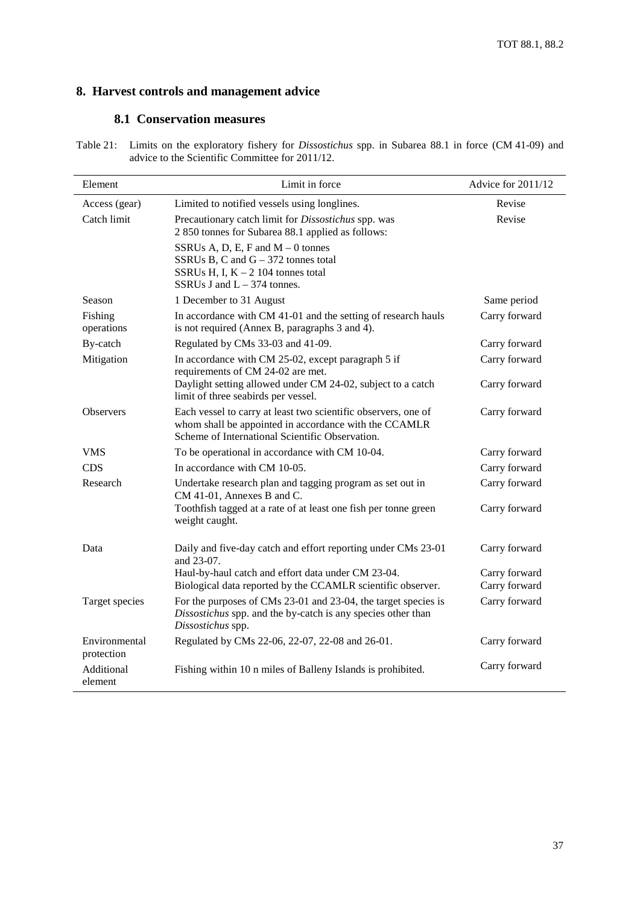# <span id="page-40-0"></span>**8. Harvest controls and management advice**

# **8.1 Conservation measures**

| Table 21: Limits on the exploratory fishery for <i>Dissostichus</i> spp. in Subarea 88.1 in force (CM 41-09) and |
|------------------------------------------------------------------------------------------------------------------|
| advice to the Scientific Committee for 2011/12.                                                                  |

| Element                     | Limit in force                                                                                                                                                             | Advice for 2011/12             |
|-----------------------------|----------------------------------------------------------------------------------------------------------------------------------------------------------------------------|--------------------------------|
| Access (gear)               | Limited to notified vessels using longlines.                                                                                                                               | Revise                         |
| Catch limit                 | Precautionary catch limit for Dissostichus spp. was<br>2 850 tonnes for Subarea 88.1 applied as follows:                                                                   | Revise                         |
|                             | SSRUs A, D, E, F and $M - 0$ tonnes<br>SSRUs B, C and $G - 372$ tonnes total<br>SSRUs H, I, $K - 2$ 104 tonnes total<br>SSRUs J and $L - 374$ tonnes.                      |                                |
| Season                      | 1 December to 31 August                                                                                                                                                    | Same period                    |
| Fishing<br>operations       | In accordance with CM 41-01 and the setting of research hauls<br>is not required (Annex B, paragraphs 3 and 4).                                                            | Carry forward                  |
| By-catch                    | Regulated by CMs 33-03 and 41-09.                                                                                                                                          | Carry forward                  |
| Mitigation                  | In accordance with CM 25-02, except paragraph 5 if<br>requirements of CM 24-02 are met.                                                                                    | Carry forward                  |
|                             | Daylight setting allowed under CM 24-02, subject to a catch<br>limit of three seabirds per vessel.                                                                         | Carry forward                  |
| <b>Observers</b>            | Each vessel to carry at least two scientific observers, one of<br>whom shall be appointed in accordance with the CCAMLR<br>Scheme of International Scientific Observation. | Carry forward                  |
| VMS                         | To be operational in accordance with CM 10-04.                                                                                                                             | Carry forward                  |
| <b>CDS</b>                  | In accordance with CM 10-05.                                                                                                                                               | Carry forward                  |
| Research                    | Undertake research plan and tagging program as set out in<br>CM 41-01, Annexes B and C.                                                                                    | Carry forward                  |
|                             | Toothfish tagged at a rate of at least one fish per tonne green<br>weight caught.                                                                                          | Carry forward                  |
| Data                        | Daily and five-day catch and effort reporting under CMs 23-01<br>and 23-07.                                                                                                | Carry forward                  |
|                             | Haul-by-haul catch and effort data under CM 23-04.<br>Biological data reported by the CCAMLR scientific observer.                                                          | Carry forward<br>Carry forward |
| Target species              | For the purposes of CMs 23-01 and 23-04, the target species is<br>Dissostichus spp. and the by-catch is any species other than<br>Dissostichus spp.                        | Carry forward                  |
| Environmental<br>protection | Regulated by CMs 22-06, 22-07, 22-08 and 26-01.                                                                                                                            | Carry forward                  |
| Additional<br>element       | Fishing within 10 n miles of Balleny Islands is prohibited.                                                                                                                | Carry forward                  |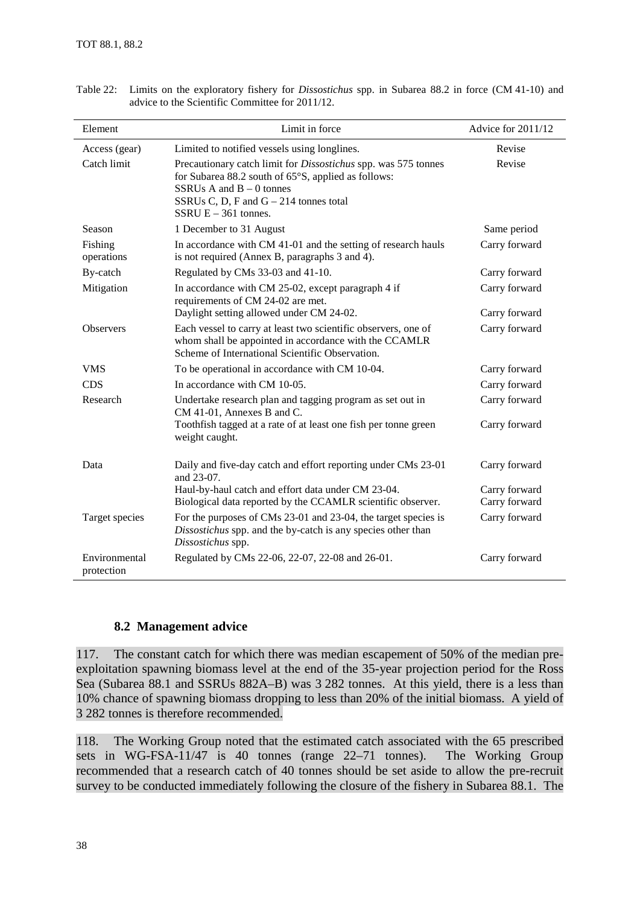| Element                     | Limit in force                                                                                                                                                                                                                   | Advice for 2011/12 |
|-----------------------------|----------------------------------------------------------------------------------------------------------------------------------------------------------------------------------------------------------------------------------|--------------------|
| Access (gear)               | Limited to notified vessels using longlines.                                                                                                                                                                                     | Revise             |
| Catch limit                 | Precautionary catch limit for <i>Dissostichus</i> spp. was 575 tonnes<br>for Subarea 88.2 south of 65°S, applied as follows:<br>SSRUs A and $B - 0$ tonnes<br>SSRUs C, D, F and $G - 214$ tonnes total<br>SSRU $E - 361$ tonnes. | Revise             |
| Season                      | 1 December to 31 August                                                                                                                                                                                                          | Same period        |
| Fishing<br>operations       | In accordance with CM 41-01 and the setting of research hauls<br>is not required (Annex B, paragraphs 3 and 4).                                                                                                                  | Carry forward      |
| By-catch                    | Regulated by CMs 33-03 and 41-10.                                                                                                                                                                                                | Carry forward      |
| Mitigation                  | In accordance with CM 25-02, except paragraph 4 if<br>requirements of CM 24-02 are met.                                                                                                                                          | Carry forward      |
|                             | Daylight setting allowed under CM 24-02.                                                                                                                                                                                         | Carry forward      |
| <b>Observers</b>            | Each vessel to carry at least two scientific observers, one of<br>whom shall be appointed in accordance with the CCAMLR<br>Scheme of International Scientific Observation.                                                       | Carry forward      |
| <b>VMS</b>                  | To be operational in accordance with CM 10-04.                                                                                                                                                                                   | Carry forward      |
| <b>CDS</b>                  | In accordance with CM 10-05.                                                                                                                                                                                                     | Carry forward      |
| Research                    | Undertake research plan and tagging program as set out in<br>CM 41-01, Annexes B and C.                                                                                                                                          | Carry forward      |
|                             | Toothfish tagged at a rate of at least one fish per tonne green<br>weight caught.                                                                                                                                                | Carry forward      |
| Data                        | Daily and five-day catch and effort reporting under CMs 23-01<br>and 23-07.                                                                                                                                                      | Carry forward      |
|                             | Haul-by-haul catch and effort data under CM 23-04.                                                                                                                                                                               | Carry forward      |
|                             | Biological data reported by the CCAMLR scientific observer.                                                                                                                                                                      | Carry forward      |
| Target species              | For the purposes of CMs 23-01 and 23-04, the target species is<br>Dissostichus spp. and the by-catch is any species other than<br>Dissostichus spp.                                                                              | Carry forward      |
| Environmental<br>protection | Regulated by CMs 22-06, 22-07, 22-08 and 26-01.                                                                                                                                                                                  | Carry forward      |

Table 22: Limits on the exploratory fishery for *Dissostichus* spp. in Subarea 88.2 in force (CM 41-10) and advice to the Scientific Committee for 2011/12.

# **8.2 Management advice**

117. The constant catch for which there was median escapement of 50% of the median preexploitation spawning biomass level at the end of the 35-year projection period for the Ross Sea (Subarea 88.1 and SSRUs 882A–B) was 3 282 tonnes. At this yield, there is a less than 10% chance of spawning biomass dropping to less than 20% of the initial biomass. A yield of 3 282 tonnes is therefore recommended.

118. The Working Group noted that the estimated catch associated with the 65 prescribed sets in WG-FSA-11/47 is 40 tonnes (range 22–71 tonnes). The Working Group recommended that a research catch of 40 tonnes should be set aside to allow the pre-recruit survey to be conducted immediately following the closure of the fishery in Subarea 88.1. The